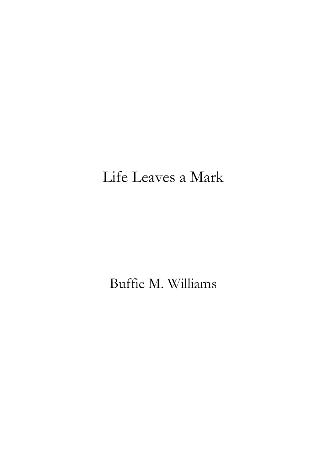# Life Leaves a Mark

Buffie M. Williams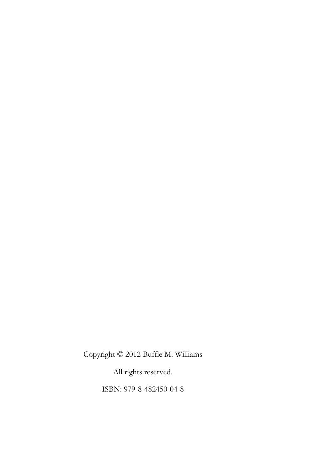Copyright © 2012 Buffie M. Williams

All rights reserved.

ISBN: 979-8-482450-04-8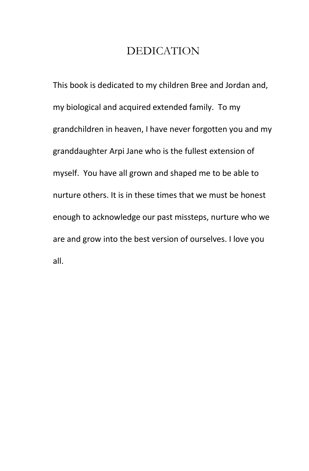### DEDICATION

This book is dedicated to my children Bree and Jordan and, my biological and acquired extended family. To my grandchildren in heaven, I have never forgotten you and my granddaughter Arpi Jane who is the fullest extension of myself. You have all grown and shaped me to be able to nurture others. It is in these times that we must be honest enough to acknowledge our past missteps, nurture who we are and grow into the best version of ourselves. I love you all.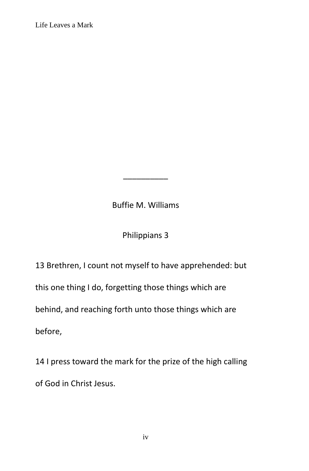Life Leaves a Mark

Buffie M. Williams

\_\_\_\_\_\_\_\_\_\_

Philippians 3

13 Brethren, I count not myself to have apprehended: but this one thing I do, forgetting those things which are behind, and reaching forth unto those things which are before,

14 I press toward the mark for the prize of the high calling of God in Christ Jesus.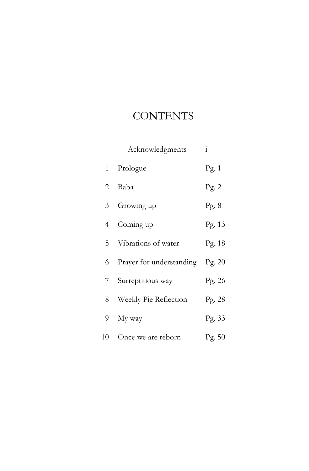## **CONTENTS**

|                | Acknowledgments          | $\mathbf{i}$ |
|----------------|--------------------------|--------------|
| 1              | Prologue                 | Pg. 1        |
| $\overline{2}$ | Baba                     | Pg. 2        |
| 3              | Growing up               | Pg. $8$      |
| 4              | Coming up                | Pg. 13       |
| 5              | Vibrations of water      | Pg. 18       |
| 6              | Prayer for understanding | Pg. $20$     |
| 7              | Surreptitious way        | Pg. 26       |
| 8              | Weekly Pie Reflection    | Pg. 28       |
| 9              | My way                   | Pg. 33       |
| 10             | Once we are reborn       | Pg. $50$     |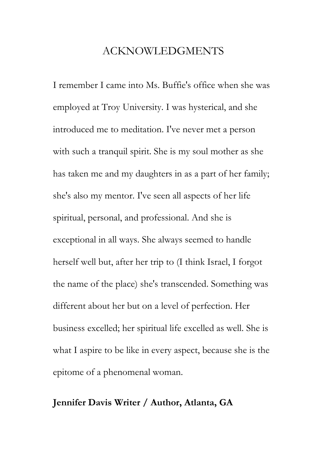### ACKNOWLEDGMENTS

I remember I came into Ms. Buffie's office when she was employed at Troy University. I was hysterical, and she introduced me to meditation. I've never met a person with such a tranquil spirit. She is my soul mother as she has taken me and my daughters in as a part of her family; she's also my mentor. I've seen all aspects of her life spiritual, personal, and professional. And she is exceptional in all ways. She always seemed to handle herself well but, after her trip to (I think Israel, I forgot the name of the place) she's transcended. Something was different about her but on a level of perfection. Her business excelled; her spiritual life excelled as well. She is what I aspire to be like in every aspect, because she is the epitome of a phenomenal woman.

#### **Jennifer Davis Writer / Author, Atlanta, GA**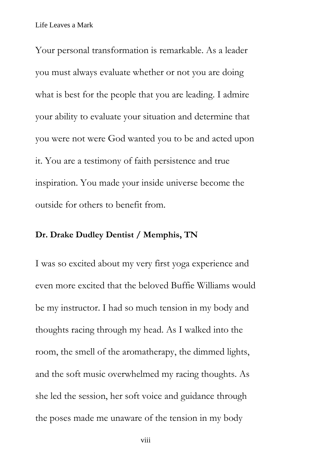Life Leaves a Mark

Your personal transformation is remarkable. As a leader you must always evaluate whether or not you are doing what is best for the people that you are leading. I admire your ability to evaluate your situation and determine that you were not were God wanted you to be and acted upon it. You are a testimony of faith persistence and true inspiration. You made your inside universe become the outside for others to benefit from.

#### **Dr. Drake Dudley Dentist / Memphis, TN**

I was so excited about my very first yoga experience and even more excited that the beloved Buffie Williams would be my instructor. I had so much tension in my body and thoughts racing through my head. As I walked into the room, the smell of the aromatherapy, the dimmed lights, and the soft music overwhelmed my racing thoughts. As she led the session, her soft voice and guidance through the poses made me unaware of the tension in my body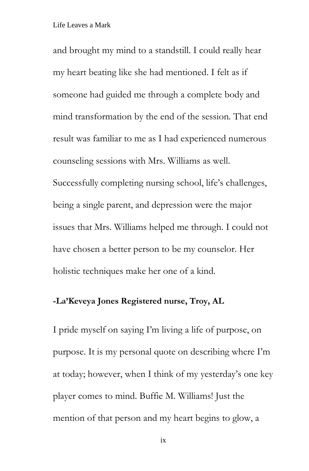and brought my mind to a standstill. I could really hear my heart beating like she had mentioned. I felt as if someone had guided me through a complete body and mind transformation by the end of the session. That end result was familiar to me as I had experienced numerous counseling sessions with Mrs. Williams as well. Successfully completing nursing school, life's challenges, being a single parent, and depression were the major issues that Mrs. Williams helped me through. I could not have chosen a better person to be my counselor. Her holistic techniques make her one of a kind.

#### **-La'Keveya Jones Registered nurse, Troy, AL**

I pride myself on saying I'm living a life of purpose, on purpose. It is my personal quote on describing where I'm at today; however, when I think of my yesterday's one key player comes to mind. Buffie M. Williams! Just the mention of that person and my heart begins to glow, a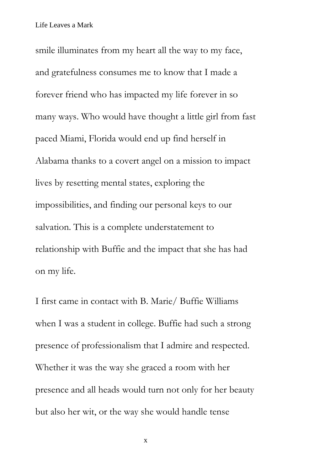smile illuminates from my heart all the way to my face, and gratefulness consumes me to know that I made a forever friend who has impacted my life forever in so many ways. Who would have thought a little girl from fast paced Miami, Florida would end up find herself in Alabama thanks to a covert angel on a mission to impact lives by resetting mental states, exploring the impossibilities, and finding our personal keys to our salvation. This is a complete understatement to relationship with Buffie and the impact that she has had on my life.

I first came in contact with B. Marie/ Buffie Williams when I was a student in college. Buffie had such a strong presence of professionalism that I admire and respected. Whether it was the way she graced a room with her presence and all heads would turn not only for her beauty but also her wit, or the way she would handle tense

x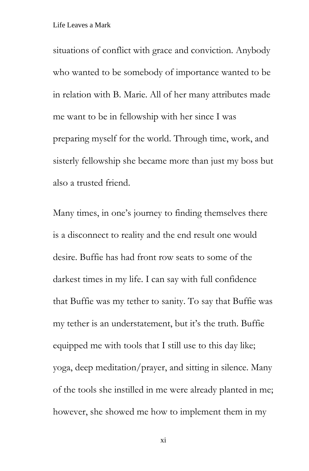situations of conflict with grace and conviction. Anybody who wanted to be somebody of importance wanted to be in relation with B. Marie. All of her many attributes made me want to be in fellowship with her since I was preparing myself for the world. Through time, work, and sisterly fellowship she became more than just my boss but also a trusted friend.

Many times, in one's journey to finding themselves there is a disconnect to reality and the end result one would desire. Buffie has had front row seats to some of the darkest times in my life. I can say with full confidence that Buffie was my tether to sanity. To say that Buffie was my tether is an understatement, but it's the truth. Buffie equipped me with tools that I still use to this day like; yoga, deep meditation/prayer, and sitting in silence. Many of the tools she instilled in me were already planted in me; however, she showed me how to implement them in my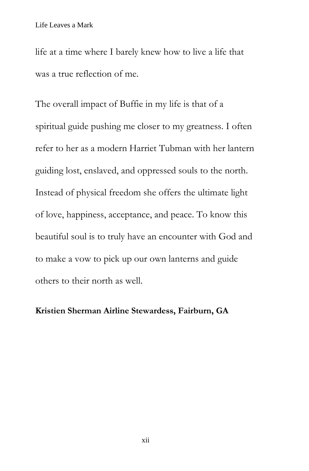life at a time where I barely knew how to live a life that was a true reflection of me.

The overall impact of Buffie in my life is that of a spiritual guide pushing me closer to my greatness. I often refer to her as a modern Harriet Tubman with her lantern guiding lost, enslaved, and oppressed souls to the north. Instead of physical freedom she offers the ultimate light of love, happiness, acceptance, and peace. To know this beautiful soul is to truly have an encounter with God and to make a vow to pick up our own lanterns and guide others to their north as well.

#### **Kristien Sherman Airline Stewardess, Fairburn, GA**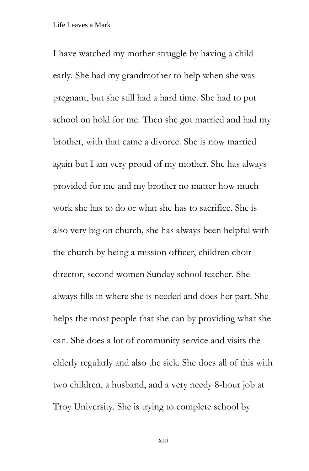I have watched my mother struggle by having a child early. She had my grandmother to help when she was pregnant, but she still had a hard time. She had to put school on hold for me. Then she got married and had my brother, with that came a divorce. She is now married again but I am very proud of my mother. She has always provided for me and my brother no matter how much work she has to do or what she has to sacrifice. She is also very big on church, she has always been helpful with the church by being a mission officer, children choir director, second women Sunday school teacher. She always fills in where she is needed and does her part. She helps the most people that she can by providing what she can. She does a lot of community service and visits the elderly regularly and also the sick. She does all of this with two children, a husband, and a very needy 8-hour job at Troy University. She is trying to complete school by

xiii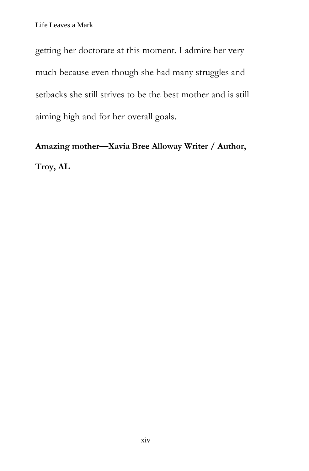getting her doctorate at this moment. I admire her very much because even though she had many struggles and setbacks she still strives to be the best mother and is still aiming high and for her overall goals.

# **Amazing mother—Xavia Bree Alloway Writer / Author, Troy, AL**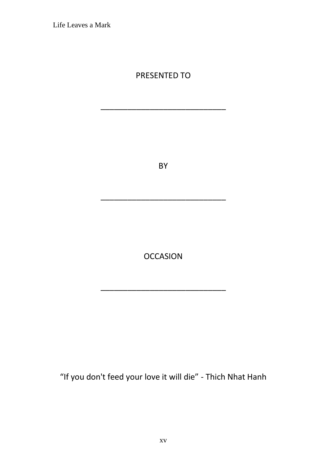Life Leaves a Mark

PRESENTED TO

BY

\_\_\_\_\_\_\_\_\_\_\_\_\_\_\_\_\_\_\_\_\_\_\_\_\_\_\_\_

**OCCASION** 

\_\_\_\_\_\_\_\_\_\_\_\_\_\_\_\_\_\_\_\_\_\_\_\_\_\_\_\_

"If you don't feed your love it will die" - Thich Nhat Hanh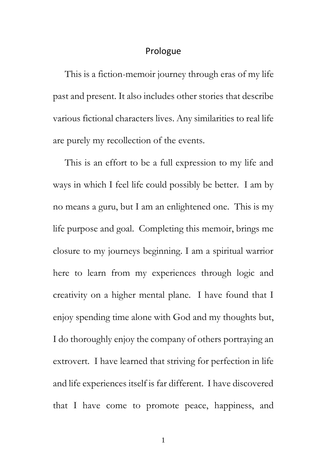#### Prologue

This is a fiction-memoir journey through eras of my life past and present. It also includes other stories that describe various fictional characters lives. Any similarities to real life are purely my recollection of the events.

This is an effort to be a full expression to my life and ways in which I feel life could possibly be better. I am by no means a guru, but I am an enlightened one. This is my life purpose and goal. Completing this memoir, brings me closure to my journeys beginning. I am a spiritual warrior here to learn from my experiences through logic and creativity on a higher mental plane. I have found that I enjoy spending time alone with God and my thoughts but, I do thoroughly enjoy the company of others portraying an extrovert. I have learned that striving for perfection in life and life experiences itself is far different. I have discovered that I have come to promote peace, happiness, and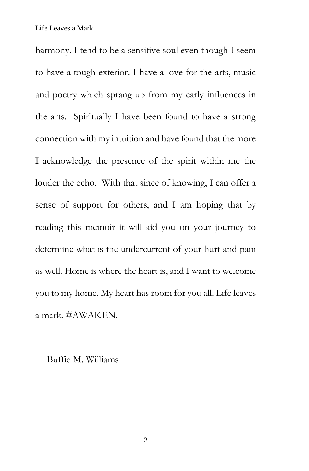harmony. I tend to be a sensitive soul even though I seem to have a tough exterior. I have a love for the arts, music and poetry which sprang up from my early influences in the arts. Spiritually I have been found to have a strong connection with my intuition and have found that the more I acknowledge the presence of the spirit within me the louder the echo. With that since of knowing, I can offer a sense of support for others, and I am hoping that by reading this memoir it will aid you on your journey to determine what is the undercurrent of your hurt and pain as well. Home is where the heart is, and I want to welcome you to my home. My heart has room for you all. Life leaves a mark. #AWAKEN.

Buffie M. Williams

 $\overline{2}$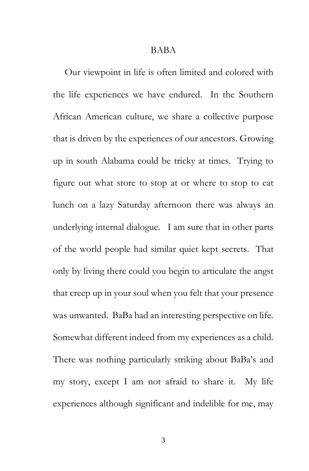#### BABA

Our viewpoint in life is often limited and colored with the life experiences we have endured. In the Southern African American culture, we share a collective purpose that is driven by the experiences of our ancestors. Growing up in south Alabama could be tricky at times. Trying to figure out what store to stop at or where to stop to eat lunch on a lazy Saturday afternoon there was always an underlying internal dialogue. I am sure that in other parts of the world people had similar quiet kept secrets. That only by living there could you begin to articulate the angst that creep up in your soul when you felt that your presence was unwanted. BaBa had an interesting perspective on life. Somewhat different indeed from my experiences as a child. There was nothing particularly striking about BaBa's and my story, except I am not afraid to share it. My life experiences although significant and indelible for me, may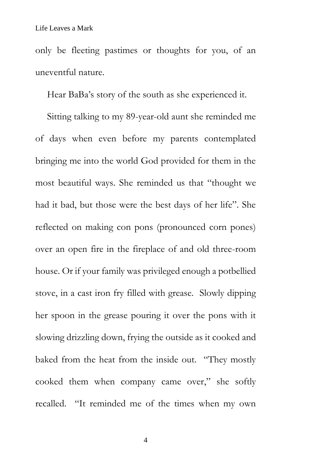only be fleeting pastimes or thoughts for you, of an uneventful nature.

Hear BaBa's story of the south as she experienced it.

Sitting talking to my 89-year-old aunt she reminded me of days when even before my parents contemplated bringing me into the world God provided for them in the most beautiful ways. She reminded us that "thought we had it bad, but those were the best days of her life". She reflected on making con pons (pronounced corn pones) over an open fire in the fireplace of and old three-room house. Or if your family was privileged enough a potbellied stove, in a cast iron fry filled with grease. Slowly dipping her spoon in the grease pouring it over the pons with it slowing drizzling down, frying the outside as it cooked and baked from the heat from the inside out. "They mostly cooked them when company came over," she softly recalled. "It reminded me of the times when my own

4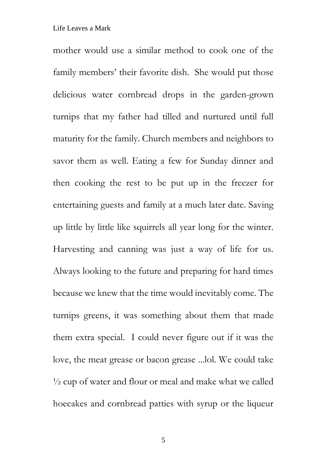mother would use a similar method to cook one of the family members' their favorite dish. She would put those delicious water cornbread drops in the garden-grown turnips that my father had tilled and nurtured until full maturity for the family. Church members and neighbors to savor them as well. Eating a few for Sunday dinner and then cooking the rest to be put up in the freezer for entertaining guests and family at a much later date. Saving up little by little like squirrels all year long for the winter. Harvesting and canning was just a way of life for us. Always looking to the future and preparing for hard times because we knew that the time would inevitably come. The turnips greens, it was something about them that made them extra special. I could never figure out if it was the love, the meat grease or bacon grease ...lol. We could take  $\frac{1}{2}$  cup of water and flour or meal and make what we called hoecakes and cornbread patties with syrup or the liqueur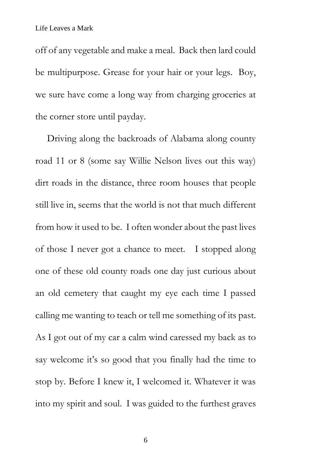off of any vegetable and make a meal. Back then lard could be multipurpose. Grease for your hair or your legs. Boy, we sure have come a long way from charging groceries at the corner store until payday.

Driving along the backroads of Alabama along county road 11 or 8 (some say Willie Nelson lives out this way) dirt roads in the distance, three room houses that people still live in, seems that the world is not that much different from how it used to be. I often wonder about the past lives of those I never got a chance to meet. I stopped along one of these old county roads one day just curious about an old cemetery that caught my eye each time I passed calling me wanting to teach or tell me something of its past. As I got out of my car a calm wind caressed my back as to say welcome it's so good that you finally had the time to stop by. Before I knew it, I welcomed it. Whatever it was into my spirit and soul. I was guided to the furthest graves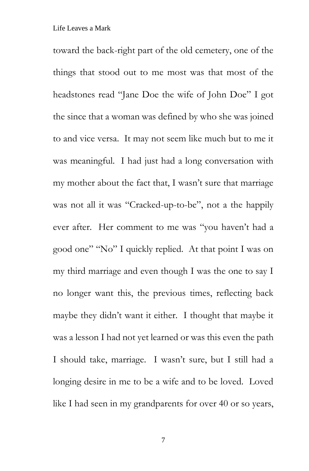toward the back-right part of the old cemetery, one of the things that stood out to me most was that most of the headstones read "Jane Doe the wife of John Doe" I got the since that a woman was defined by who she was joined to and vice versa. It may not seem like much but to me it was meaningful. I had just had a long conversation with my mother about the fact that, I wasn't sure that marriage was not all it was "Cracked-up-to-be", not a the happily ever after. Her comment to me was "you haven't had a good one" "No" I quickly replied. At that point I was on my third marriage and even though I was the one to say I no longer want this, the previous times, reflecting back maybe they didn't want it either. I thought that maybe it was a lesson I had not yet learned or was this even the path I should take, marriage. I wasn't sure, but I still had a longing desire in me to be a wife and to be loved. Loved like I had seen in my grandparents for over 40 or so years,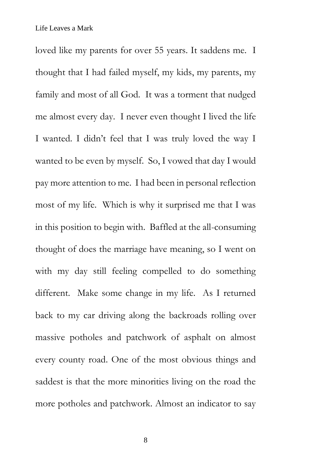loved like my parents for over 55 years. It saddens me. I thought that I had failed myself, my kids, my parents, my family and most of all God. It was a torment that nudged me almost every day. I never even thought I lived the life I wanted. I didn't feel that I was truly loved the way I wanted to be even by myself. So, I vowed that day I would pay more attention to me. I had been in personal reflection most of my life. Which is why it surprised me that I was in this position to begin with. Baffled at the all-consuming thought of does the marriage have meaning, so I went on with my day still feeling compelled to do something different. Make some change in my life. As I returned back to my car driving along the backroads rolling over massive potholes and patchwork of asphalt on almost every county road. One of the most obvious things and saddest is that the more minorities living on the road the more potholes and patchwork. Almost an indicator to say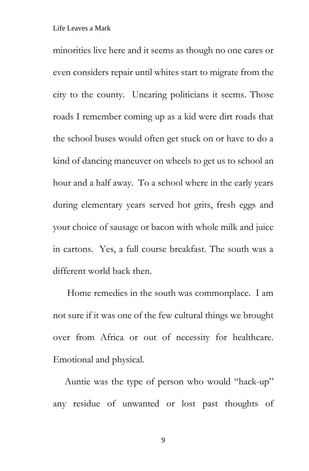minorities live here and it seems as though no one cares or even considers repair until whites start to migrate from the city to the county. Uncaring politicians it seems. Those roads I remember coming up as a kid were dirt roads that the school buses would often get stuck on or have to do a kind of dancing maneuver on wheels to get us to school an hour and a half away. To a school where in the early years during elementary years served hot grits, fresh eggs and your choice of sausage or bacon with whole milk and juice in cartons. Yes, a full course breakfast. The south was a different world back then.

Home remedies in the south was commonplace. I am not sure if it was one of the few cultural things we brought over from Africa or out of necessity for healthcare. Emotional and physical.

Auntie was the type of person who would "hack-up" any residue of unwanted or lost past thoughts of

9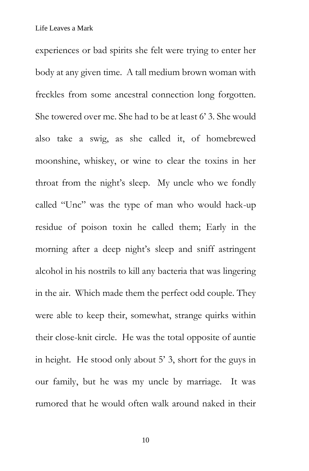experiences or bad spirits she felt were trying to enter her body at any given time. A tall medium brown woman with freckles from some ancestral connection long forgotten. She towered over me. She had to be at least 6' 3. She would also take a swig, as she called it, of homebrewed moonshine, whiskey, or wine to clear the toxins in her throat from the night's sleep. My uncle who we fondly called "Unc" was the type of man who would hack-up residue of poison toxin he called them; Early in the morning after a deep night's sleep and sniff astringent alcohol in his nostrils to kill any bacteria that was lingering in the air. Which made them the perfect odd couple. They were able to keep their, somewhat, strange quirks within their close-knit circle. He was the total opposite of auntie in height. He stood only about 5' 3, short for the guys in our family, but he was my uncle by marriage. It was rumored that he would often walk around naked in their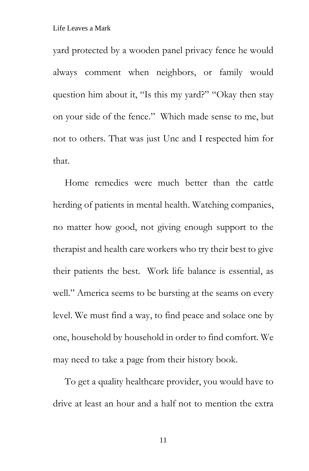yard protected by a wooden panel privacy fence he would always comment when neighbors, or family would question him about it, "Is this my yard?" "Okay then stay on your side of the fence." Which made sense to me, but not to others. That was just Unc and I respected him for that.

Home remedies were much better than the cattle herding of patients in mental health. Watching companies, no matter how good, not giving enough support to the therapist and health care workers who try their best to give their patients the best. Work life balance is essential, as well." America seems to be bursting at the seams on every level. We must find a way, to find peace and solace one by one, household by household in order to find comfort. We may need to take a page from their history book.

To get a quality healthcare provider, you would have to drive at least an hour and a half not to mention the extra

11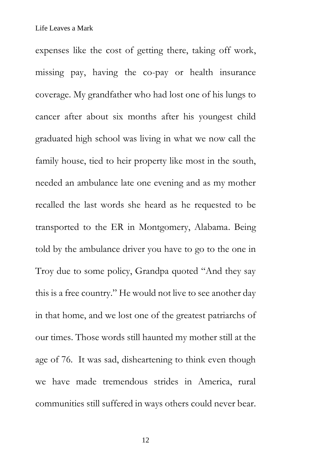expenses like the cost of getting there, taking off work, missing pay, having the co-pay or health insurance coverage. My grandfather who had lost one of his lungs to cancer after about six months after his youngest child graduated high school was living in what we now call the family house, tied to heir property like most in the south, needed an ambulance late one evening and as my mother recalled the last words she heard as he requested to be transported to the ER in Montgomery, Alabama. Being told by the ambulance driver you have to go to the one in Troy due to some policy, Grandpa quoted "And they say this is a free country." He would not live to see another day in that home, and we lost one of the greatest patriarchs of our times. Those words still haunted my mother still at the age of 76. It was sad, disheartening to think even though we have made tremendous strides in America, rural communities still suffered in ways others could never bear.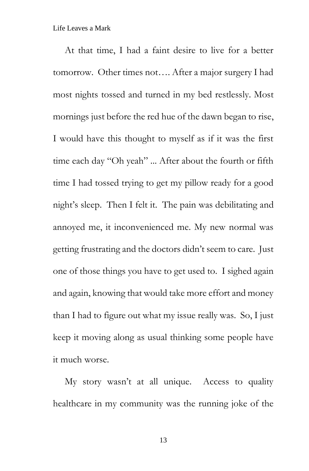At that time, I had a faint desire to live for a better tomorrow. Other times not…. After a major surgery I had most nights tossed and turned in my bed restlessly. Most mornings just before the red hue of the dawn began to rise, I would have this thought to myself as if it was the first time each day "Oh yeah" ... After about the fourth or fifth time I had tossed trying to get my pillow ready for a good night's sleep. Then I felt it. The pain was debilitating and annoyed me, it inconvenienced me. My new normal was getting frustrating and the doctors didn't seem to care. Just one of those things you have to get used to. I sighed again and again, knowing that would take more effort and money than I had to figure out what my issue really was. So, I just keep it moving along as usual thinking some people have it much worse.

My story wasn't at all unique. Access to quality healthcare in my community was the running joke of the

13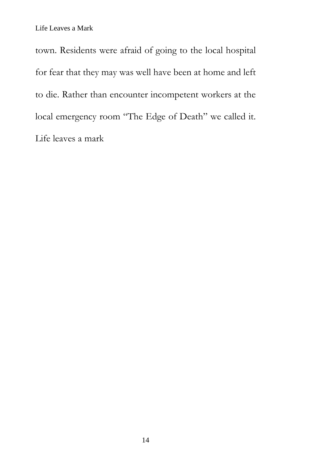town. Residents were afraid of going to the local hospital for fear that they may was well have been at home and left to die. Rather than encounter incompetent workers at the local emergency room "The Edge of Death" we called it. Life leaves a mark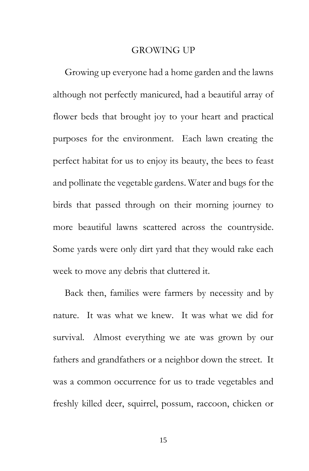#### GROWING UP

Growing up everyone had a home garden and the lawns although not perfectly manicured, had a beautiful array of flower beds that brought joy to your heart and practical purposes for the environment. Each lawn creating the perfect habitat for us to enjoy its beauty, the bees to feast and pollinate the vegetable gardens. Water and bugs for the birds that passed through on their morning journey to more beautiful lawns scattered across the countryside. Some yards were only dirt yard that they would rake each week to move any debris that cluttered it.

Back then, families were farmers by necessity and by nature. It was what we knew. It was what we did for survival. Almost everything we ate was grown by our fathers and grandfathers or a neighbor down the street. It was a common occurrence for us to trade vegetables and freshly killed deer, squirrel, possum, raccoon, chicken or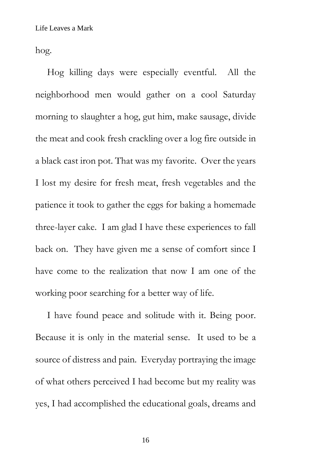hog.

Hog killing days were especially eventful. All the neighborhood men would gather on a cool Saturday morning to slaughter a hog, gut him, make sausage, divide the meat and cook fresh crackling over a log fire outside in a black cast iron pot. That was my favorite. Over the years I lost my desire for fresh meat, fresh vegetables and the patience it took to gather the eggs for baking a homemade three-layer cake. I am glad I have these experiences to fall back on. They have given me a sense of comfort since I have come to the realization that now I am one of the working poor searching for a better way of life.

I have found peace and solitude with it. Being poor. Because it is only in the material sense. It used to be a source of distress and pain. Everyday portraying the image of what others perceived I had become but my reality was yes, I had accomplished the educational goals, dreams and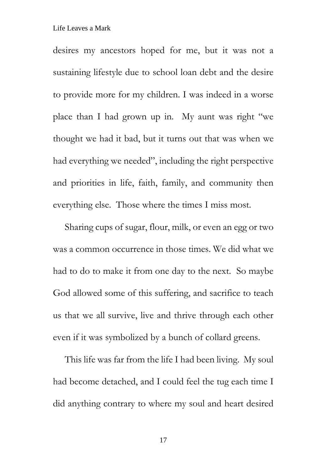desires my ancestors hoped for me, but it was not a sustaining lifestyle due to school loan debt and the desire to provide more for my children. I was indeed in a worse place than I had grown up in. My aunt was right "we thought we had it bad, but it turns out that was when we had everything we needed", including the right perspective and priorities in life, faith, family, and community then everything else. Those where the times I miss most.

Sharing cups of sugar, flour, milk, or even an egg or two was a common occurrence in those times. We did what we had to do to make it from one day to the next. So maybe God allowed some of this suffering, and sacrifice to teach us that we all survive, live and thrive through each other even if it was symbolized by a bunch of collard greens.

This life was far from the life I had been living. My soul had become detached, and I could feel the tug each time I did anything contrary to where my soul and heart desired

17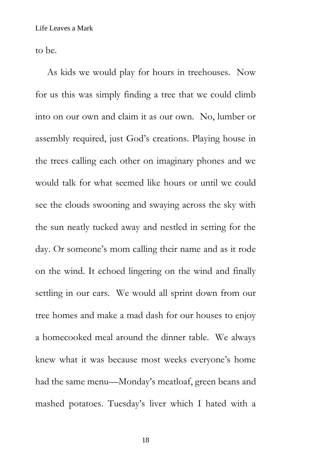to be.

As kids we would play for hours in treehouses. Now for us this was simply finding a tree that we could climb into on our own and claim it as our own. No, lumber or assembly required, just God's creations. Playing house in the trees calling each other on imaginary phones and we would talk for what seemed like hours or until we could see the clouds swooning and swaying across the sky with the sun neatly tucked away and nestled in setting for the day. Or someone's mom calling their name and as it rode on the wind. It echoed lingering on the wind and finally settling in our ears. We would all sprint down from our tree homes and make a mad dash for our houses to enjoy a homecooked meal around the dinner table. We always knew what it was because most weeks everyone's home had the same menu—Monday's meatloaf, green beans and mashed potatoes. Tuesday's liver which I hated with a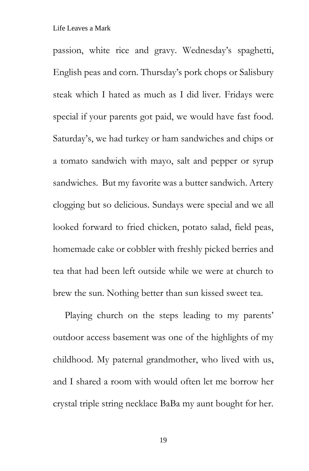passion, white rice and gravy. Wednesday's spaghetti, English peas and corn. Thursday's pork chops or Salisbury steak which I hated as much as I did liver. Fridays were special if your parents got paid, we would have fast food. Saturday's, we had turkey or ham sandwiches and chips or a tomato sandwich with mayo, salt and pepper or syrup sandwiches. But my favorite was a butter sandwich. Artery clogging but so delicious. Sundays were special and we all looked forward to fried chicken, potato salad, field peas, homemade cake or cobbler with freshly picked berries and tea that had been left outside while we were at church to brew the sun. Nothing better than sun kissed sweet tea.

Playing church on the steps leading to my parents' outdoor access basement was one of the highlights of my childhood. My paternal grandmother, who lived with us, and I shared a room with would often let me borrow her crystal triple string necklace BaBa my aunt bought for her.

19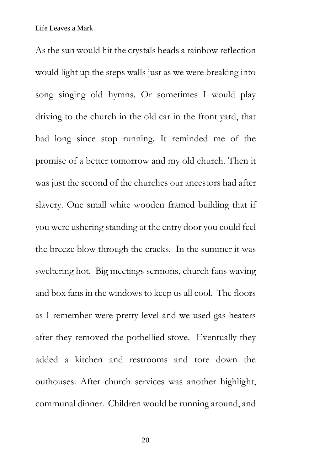As the sun would hit the crystals beads a rainbow reflection would light up the steps walls just as we were breaking into song singing old hymns. Or sometimes I would play driving to the church in the old car in the front yard, that had long since stop running. It reminded me of the promise of a better tomorrow and my old church. Then it was just the second of the churches our ancestors had after slavery. One small white wooden framed building that if you were ushering standing at the entry door you could feel the breeze blow through the cracks. In the summer it was sweltering hot. Big meetings sermons, church fans waving and box fans in the windows to keep us all cool. The floors as I remember were pretty level and we used gas heaters after they removed the potbellied stove. Eventually they added a kitchen and restrooms and tore down the outhouses. After church services was another highlight, communal dinner. Children would be running around, and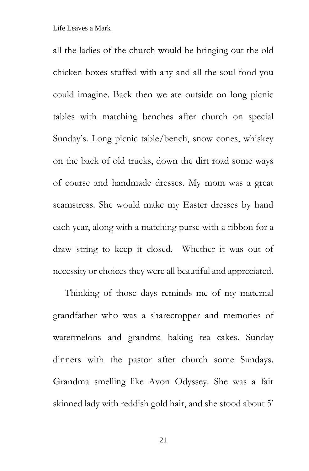all the ladies of the church would be bringing out the old chicken boxes stuffed with any and all the soul food you could imagine. Back then we ate outside on long picnic tables with matching benches after church on special Sunday's. Long picnic table/bench, snow cones, whiskey on the back of old trucks, down the dirt road some ways of course and handmade dresses. My mom was a great seamstress. She would make my Easter dresses by hand each year, along with a matching purse with a ribbon for a draw string to keep it closed. Whether it was out of necessity or choices they were all beautiful and appreciated.

Thinking of those days reminds me of my maternal grandfather who was a sharecropper and memories of watermelons and grandma baking tea cakes. Sunday dinners with the pastor after church some Sundays. Grandma smelling like Avon Odyssey. She was a fair skinned lady with reddish gold hair, and she stood about 5'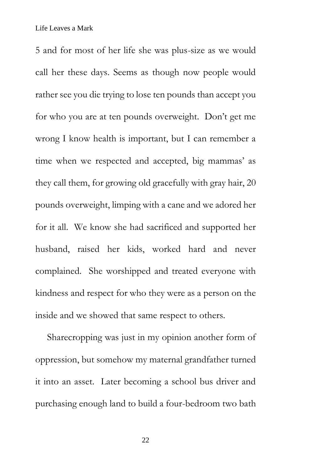5 and for most of her life she was plus-size as we would call her these days. Seems as though now people would rather see you die trying to lose ten pounds than accept you for who you are at ten pounds overweight. Don't get me wrong I know health is important, but I can remember a time when we respected and accepted, big mammas' as they call them, for growing old gracefully with gray hair, 20 pounds overweight, limping with a cane and we adored her for it all. We know she had sacrificed and supported her husband, raised her kids, worked hard and never complained. She worshipped and treated everyone with kindness and respect for who they were as a person on the inside and we showed that same respect to others.

Sharecropping was just in my opinion another form of oppression, but somehow my maternal grandfather turned it into an asset. Later becoming a school bus driver and purchasing enough land to build a four-bedroom two bath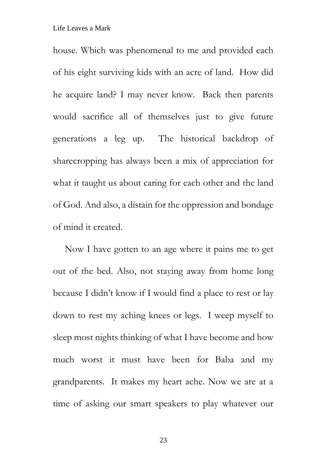house. Which was phenomenal to me and provided each of his eight surviving kids with an acre of land. How did he acquire land? I may never know. Back then parents would sacrifice all of themselves just to give future generations a leg up. The historical backdrop of sharecropping has always been a mix of appreciation for what it taught us about caring for each other and the land of God. And also, a distain for the oppression and bondage of mind it created.

Now I have gotten to an age where it pains me to get out of the bed. Also, not staying away from home long because I didn't know if I would find a place to rest or lay down to rest my aching knees or legs. I weep myself to sleep most nights thinking of what I have become and how much worst it must have been for Baba and my grandparents. It makes my heart ache. Now we are at a time of asking our smart speakers to play whatever our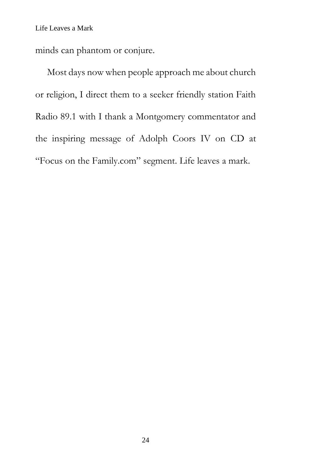minds can phantom or conjure.

Most days now when people approach me about church or religion, I direct them to a seeker friendly station Faith Radio 89.1 with I thank a Montgomery commentator and the inspiring message of Adolph Coors IV on CD at "Focus on the Family.com" segment. Life leaves a mark.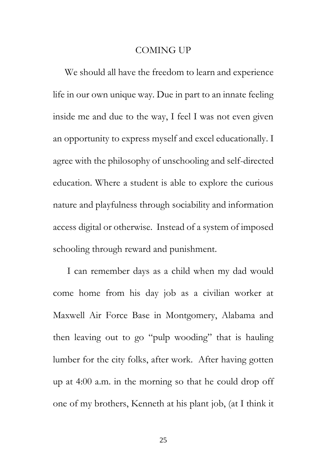## COMING UP

We should all have the freedom to learn and experience life in our own unique way. Due in part to an innate feeling inside me and due to the way, I feel I was not even given an opportunity to express myself and excel educationally. I agree with the philosophy of unschooling and self-directed education. Where a student is able to explore the curious nature and playfulness through sociability and information access digital or otherwise. Instead of a system of imposed schooling through reward and punishment.

I can remember days as a child when my dad would come home from his day job as a civilian worker at Maxwell Air Force Base in Montgomery, Alabama and then leaving out to go "pulp wooding" that is hauling lumber for the city folks, after work. After having gotten up at 4:00 a.m. in the morning so that he could drop off one of my brothers, Kenneth at his plant job, (at I think it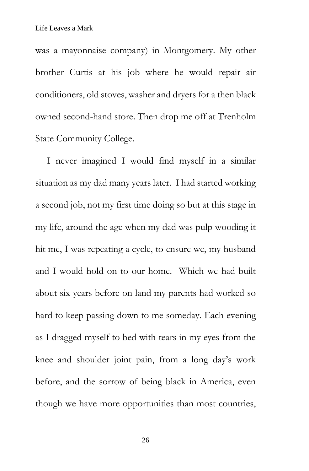was a mayonnaise company) in Montgomery. My other brother Curtis at his job where he would repair air conditioners, old stoves, washer and dryers for a then black owned second-hand store. Then drop me off at Trenholm State Community College.

I never imagined I would find myself in a similar situation as my dad many years later. I had started working a second job, not my first time doing so but at this stage in my life, around the age when my dad was pulp wooding it hit me, I was repeating a cycle, to ensure we, my husband and I would hold on to our home. Which we had built about six years before on land my parents had worked so hard to keep passing down to me someday. Each evening as I dragged myself to bed with tears in my eyes from the knee and shoulder joint pain, from a long day's work before, and the sorrow of being black in America, even though we have more opportunities than most countries,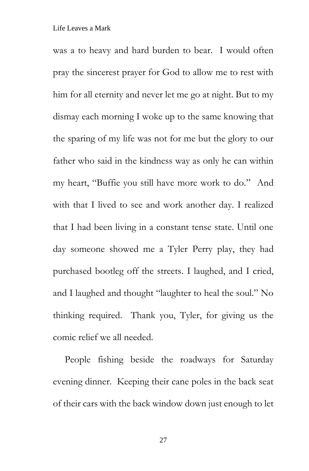was a to heavy and hard burden to bear. I would often pray the sincerest prayer for God to allow me to rest with him for all eternity and never let me go at night. But to my dismay each morning I woke up to the same knowing that the sparing of my life was not for me but the glory to our father who said in the kindness way as only he can within my heart, "Buffie you still have more work to do." And with that I lived to see and work another day. I realized that I had been living in a constant tense state. Until one day someone showed me a Tyler Perry play, they had purchased bootleg off the streets. I laughed, and I cried, and I laughed and thought "laughter to heal the soul." No thinking required. Thank you, Tyler, for giving us the comic relief we all needed.

People fishing beside the roadways for Saturday evening dinner. Keeping their cane poles in the back seat of their cars with the back window down just enough to let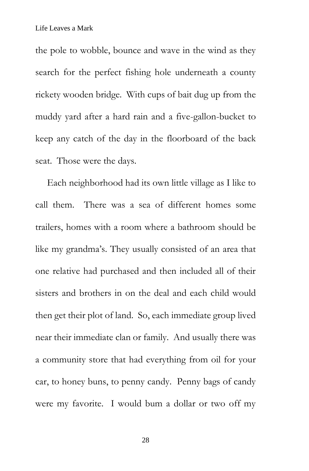the pole to wobble, bounce and wave in the wind as they search for the perfect fishing hole underneath a county rickety wooden bridge. With cups of bait dug up from the muddy yard after a hard rain and a five-gallon-bucket to keep any catch of the day in the floorboard of the back seat. Those were the days.

Each neighborhood had its own little village as I like to call them. There was a sea of different homes some trailers, homes with a room where a bathroom should be like my grandma's. They usually consisted of an area that one relative had purchased and then included all of their sisters and brothers in on the deal and each child would then get their plot of land. So, each immediate group lived near their immediate clan or family. And usually there was a community store that had everything from oil for your car, to honey buns, to penny candy. Penny bags of candy were my favorite. I would bum a dollar or two off my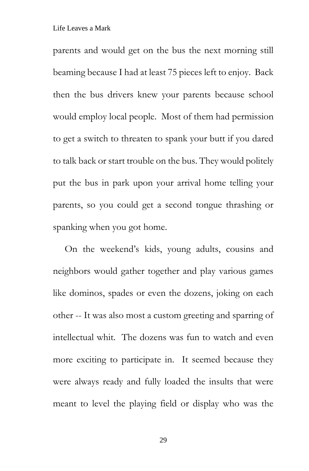parents and would get on the bus the next morning still beaming because I had at least 75 pieces left to enjoy. Back then the bus drivers knew your parents because school would employ local people. Most of them had permission to get a switch to threaten to spank your butt if you dared to talk back or start trouble on the bus. They would politely put the bus in park upon your arrival home telling your parents, so you could get a second tongue thrashing or spanking when you got home.

On the weekend's kids, young adults, cousins and neighbors would gather together and play various games like dominos, spades or even the dozens, joking on each other -- It was also most a custom greeting and sparring of intellectual whit. The dozens was fun to watch and even more exciting to participate in. It seemed because they were always ready and fully loaded the insults that were meant to level the playing field or display who was the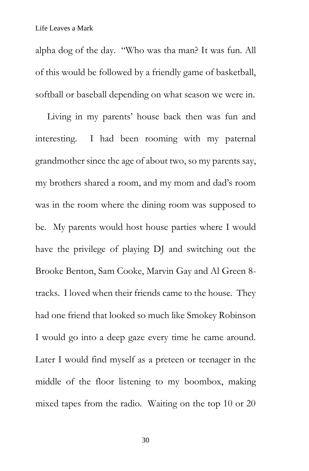alpha dog of the day. "Who was tha man? It was fun. All of this would be followed by a friendly game of basketball, softball or baseball depending on what season we were in.

Living in my parents' house back then was fun and interesting. I had been rooming with my paternal grandmother since the age of about two, so my parents say, my brothers shared a room, and my mom and dad's room was in the room where the dining room was supposed to be. My parents would host house parties where I would have the privilege of playing DJ and switching out the Brooke Benton, Sam Cooke, Marvin Gay and Al Green 8 tracks. I loved when their friends came to the house. They had one friend that looked so much like Smokey Robinson I would go into a deep gaze every time he came around. Later I would find myself as a preteen or teenager in the middle of the floor listening to my boombox, making mixed tapes from the radio. Waiting on the top 10 or 20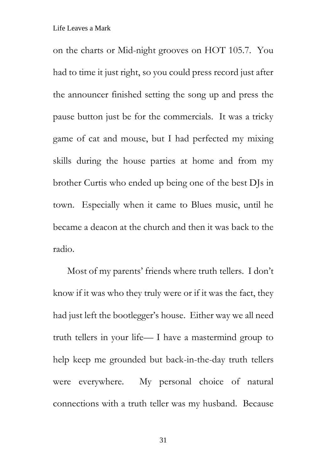on the charts or Mid-night grooves on HOT 105.7. You had to time it just right, so you could press record just after the announcer finished setting the song up and press the pause button just be for the commercials. It was a tricky game of cat and mouse, but I had perfected my mixing skills during the house parties at home and from my brother Curtis who ended up being one of the best DJs in town. Especially when it came to Blues music, until he became a deacon at the church and then it was back to the radio.

Most of my parents' friends where truth tellers. I don't know if it was who they truly were or if it was the fact, they had just left the bootlegger's house. Either way we all need truth tellers in your life— I have a mastermind group to help keep me grounded but back-in-the-day truth tellers were everywhere. My personal choice of natural connections with a truth teller was my husband. Because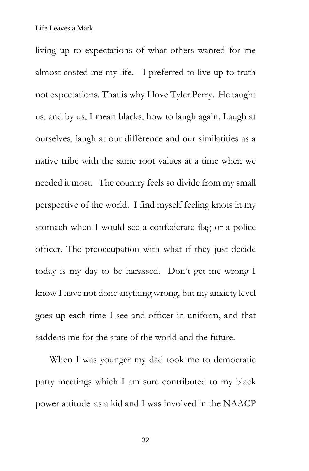living up to expectations of what others wanted for me almost costed me my life. I preferred to live up to truth not expectations. That is why I love Tyler Perry. He taught us, and by us, I mean blacks, how to laugh again. Laugh at ourselves, laugh at our difference and our similarities as a native tribe with the same root values at a time when we needed it most. The country feels so divide from my small perspective of the world. I find myself feeling knots in my stomach when I would see a confederate flag or a police officer. The preoccupation with what if they just decide today is my day to be harassed. Don't get me wrong I know I have not done anything wrong, but my anxiety level goes up each time I see and officer in uniform, and that saddens me for the state of the world and the future.

When I was younger my dad took me to democratic party meetings which I am sure contributed to my black power attitude as a kid and I was involved in the NAACP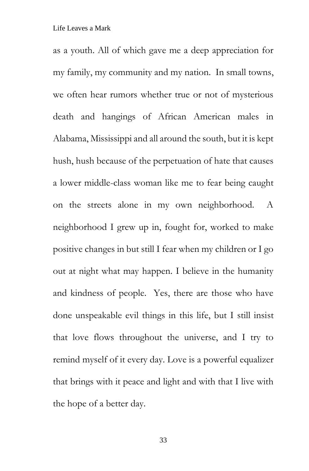as a youth. All of which gave me a deep appreciation for my family, my community and my nation. In small towns, we often hear rumors whether true or not of mysterious death and hangings of African American males in Alabama, Mississippi and all around the south, but it is kept hush, hush because of the perpetuation of hate that causes a lower middle-class woman like me to fear being caught on the streets alone in my own neighborhood. A neighborhood I grew up in, fought for, worked to make positive changes in but still I fear when my children or I go out at night what may happen. I believe in the humanity and kindness of people. Yes, there are those who have done unspeakable evil things in this life, but I still insist that love flows throughout the universe, and I try to remind myself of it every day. Love is a powerful equalizer that brings with it peace and light and with that I live with the hope of a better day.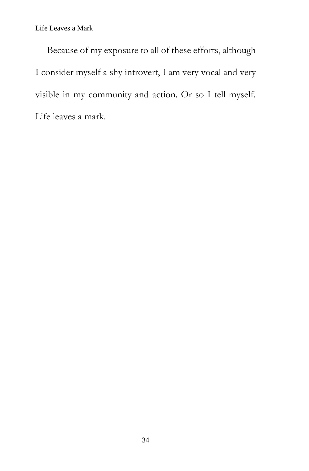Because of my exposure to all of these efforts, although I consider myself a shy introvert, I am very vocal and very visible in my community and action. Or so I tell myself. Life leaves a mark.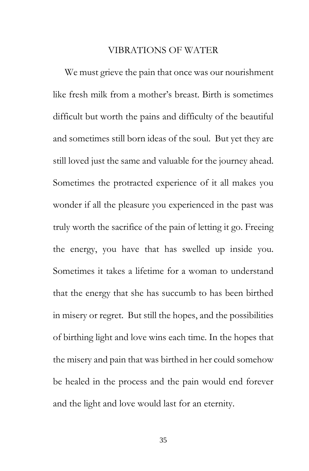## VIBRATIONS OF WATER

We must grieve the pain that once was our nourishment like fresh milk from a mother's breast. Birth is sometimes difficult but worth the pains and difficulty of the beautiful and sometimes still born ideas of the soul. But yet they are still loved just the same and valuable for the journey ahead. Sometimes the protracted experience of it all makes you wonder if all the pleasure you experienced in the past was truly worth the sacrifice of the pain of letting it go. Freeing the energy, you have that has swelled up inside you. Sometimes it takes a lifetime for a woman to understand that the energy that she has succumb to has been birthed in misery or regret. But still the hopes, and the possibilities of birthing light and love wins each time. In the hopes that the misery and pain that was birthed in her could somehow be healed in the process and the pain would end forever and the light and love would last for an eternity.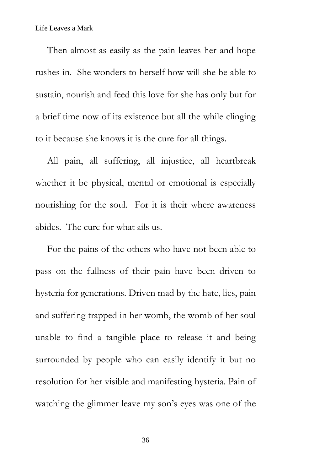Then almost as easily as the pain leaves her and hope rushes in. She wonders to herself how will she be able to sustain, nourish and feed this love for she has only but for a brief time now of its existence but all the while clinging to it because she knows it is the cure for all things.

All pain, all suffering, all injustice, all heartbreak whether it be physical, mental or emotional is especially nourishing for the soul. For it is their where awareness abides. The cure for what ails us.

For the pains of the others who have not been able to pass on the fullness of their pain have been driven to hysteria for generations. Driven mad by the hate, lies, pain and suffering trapped in her womb, the womb of her soul unable to find a tangible place to release it and being surrounded by people who can easily identify it but no resolution for her visible and manifesting hysteria. Pain of watching the glimmer leave my son's eyes was one of the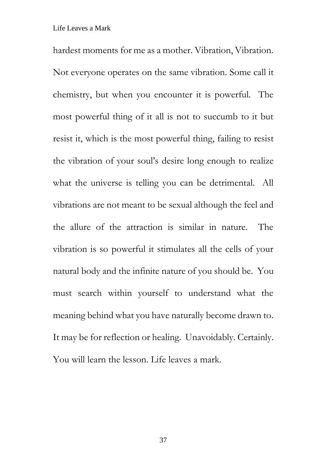hardest moments for me as a mother. Vibration, Vibration. Not everyone operates on the same vibration. Some call it chemistry, but when you encounter it is powerful. The most powerful thing of it all is not to succumb to it but resist it, which is the most powerful thing, failing to resist the vibration of your soul's desire long enough to realize what the universe is telling you can be detrimental. All vibrations are not meant to be sexual although the feel and the allure of the attraction is similar in nature. The vibration is so powerful it stimulates all the cells of your natural body and the infinite nature of you should be. You must search within yourself to understand what the meaning behind what you have naturally become drawn to. It may be for reflection or healing. Unavoidably. Certainly. You will learn the lesson. Life leaves a mark.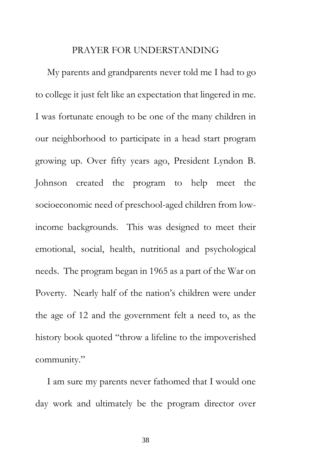## PRAYER FOR UNDERSTANDING

My parents and grandparents never told me I had to go to college it just felt like an expectation that lingered in me. I was fortunate enough to be one of the many children in our neighborhood to participate in a head start program growing up. Over fifty years ago, President Lyndon B. Johnson created the program to help meet the socioeconomic need of preschool-aged children from lowincome backgrounds. This was designed to meet their emotional, social, health, nutritional and psychological needs. The program began in 1965 as a part of the War on Poverty. Nearly half of the nation's children were under the age of 12 and the government felt a need to, as the history book quoted "throw a lifeline to the impoverished community."

I am sure my parents never fathomed that I would one day work and ultimately be the program director over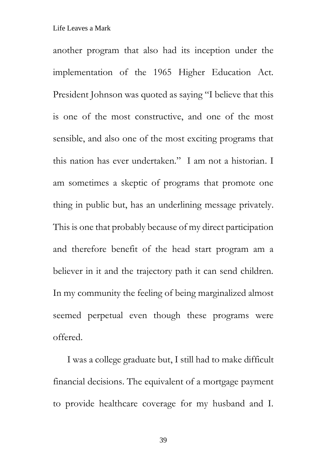another program that also had its inception under the implementation of the 1965 Higher Education Act. President Johnson was quoted as saying "I believe that this is one of the most constructive, and one of the most sensible, and also one of the most exciting programs that this nation has ever undertaken." I am not a historian. I am sometimes a skeptic of programs that promote one thing in public but, has an underlining message privately. This is one that probably because of my direct participation and therefore benefit of the head start program am a believer in it and the trajectory path it can send children. In my community the feeling of being marginalized almost seemed perpetual even though these programs were offered.

I was a college graduate but, I still had to make difficult financial decisions. The equivalent of a mortgage payment to provide healthcare coverage for my husband and I.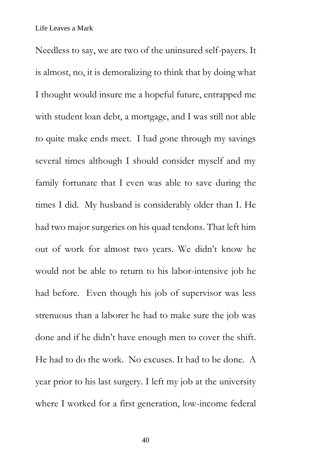Needless to say, we are two of the uninsured self-payers. It is almost, no, it is demoralizing to think that by doing what I thought would insure me a hopeful future, entrapped me with student loan debt, a mortgage, and I was still not able to quite make ends meet. I had gone through my savings several times although I should consider myself and my family fortunate that I even was able to save during the times I did. My husband is considerably older than I. He had two major surgeries on his quad tendons. That left him out of work for almost two years. We didn't know he would not be able to return to his labor-intensive job he had before. Even though his job of supervisor was less strenuous than a laborer he had to make sure the job was done and if he didn't have enough men to cover the shift. He had to do the work. No excuses. It had to be done. A year prior to his last surgery. I left my job at the university where I worked for a first generation, low-income federal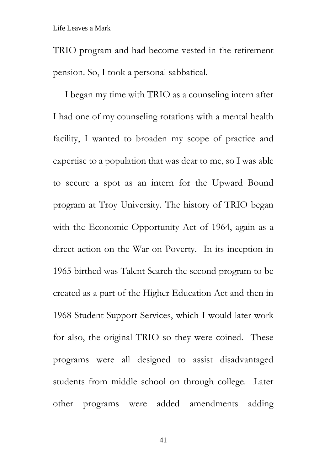TRIO program and had become vested in the retirement pension. So, I took a personal sabbatical.

I began my time with TRIO as a counseling intern after I had one of my counseling rotations with a mental health facility, I wanted to broaden my scope of practice and expertise to a population that was dear to me, so I was able to secure a spot as an intern for the Upward Bound program at Troy University. The history of TRIO began with the Economic Opportunity Act of 1964, again as a direct action on the War on Poverty. In its inception in 1965 birthed was Talent Search the second program to be created as a part of the Higher Education Act and then in 1968 Student Support Services, which I would later work for also, the original TRIO so they were coined. These programs were all designed to assist disadvantaged students from middle school on through college. Later other programs were added amendments adding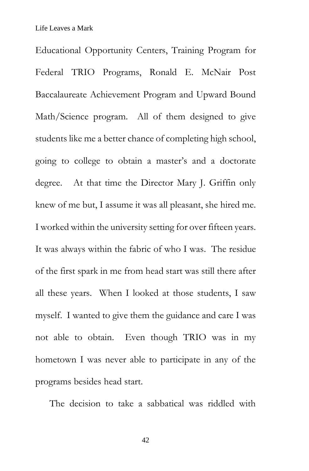Educational Opportunity Centers, Training Program for Federal TRIO Programs, Ronald E. McNair Post Baccalaureate Achievement Program and Upward Bound Math/Science program. All of them designed to give students like me a better chance of completing high school, going to college to obtain a master's and a doctorate degree. At that time the Director Mary J. Griffin only knew of me but, I assume it was all pleasant, she hired me. I worked within the university setting for over fifteen years. It was always within the fabric of who I was. The residue of the first spark in me from head start was still there after all these years. When I looked at those students, I saw myself. I wanted to give them the guidance and care I was not able to obtain. Even though TRIO was in my hometown I was never able to participate in any of the programs besides head start.

The decision to take a sabbatical was riddled with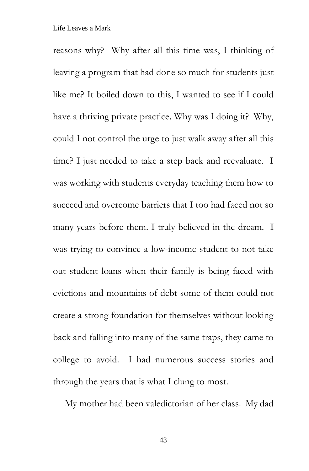reasons why? Why after all this time was, I thinking of leaving a program that had done so much for students just like me? It boiled down to this, I wanted to see if I could have a thriving private practice. Why was I doing it? Why, could I not control the urge to just walk away after all this time? I just needed to take a step back and reevaluate. I was working with students everyday teaching them how to succeed and overcome barriers that I too had faced not so many years before them. I truly believed in the dream. I was trying to convince a low-income student to not take out student loans when their family is being faced with evictions and mountains of debt some of them could not create a strong foundation for themselves without looking back and falling into many of the same traps, they came to college to avoid. I had numerous success stories and through the years that is what I clung to most.

My mother had been valedictorian of her class. My dad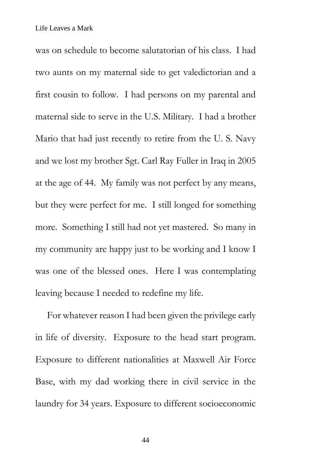was on schedule to become salutatorian of his class. I had two aunts on my maternal side to get valedictorian and a first cousin to follow. I had persons on my parental and maternal side to serve in the U.S. Military. I had a brother Mario that had just recently to retire from the U. S. Navy and we lost my brother Sgt. Carl Ray Fuller in Iraq in 2005 at the age of 44. My family was not perfect by any means, but they were perfect for me. I still longed for something more. Something I still had not yet mastered. So many in my community are happy just to be working and I know I was one of the blessed ones. Here I was contemplating leaving because I needed to redefine my life.

For whatever reason I had been given the privilege early in life of diversity. Exposure to the head start program. Exposure to different nationalities at Maxwell Air Force Base, with my dad working there in civil service in the laundry for 34 years. Exposure to different socioeconomic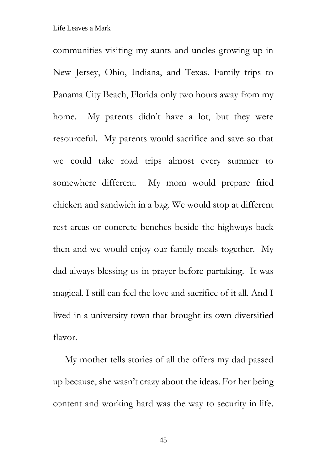communities visiting my aunts and uncles growing up in New Jersey, Ohio, Indiana, and Texas. Family trips to Panama City Beach, Florida only two hours away from my home. My parents didn't have a lot, but they were resourceful. My parents would sacrifice and save so that we could take road trips almost every summer to somewhere different. My mom would prepare fried chicken and sandwich in a bag. We would stop at different rest areas or concrete benches beside the highways back then and we would enjoy our family meals together. My dad always blessing us in prayer before partaking. It was magical. I still can feel the love and sacrifice of it all. And I lived in a university town that brought its own diversified flavor.

My mother tells stories of all the offers my dad passed up because, she wasn't crazy about the ideas. For her being content and working hard was the way to security in life.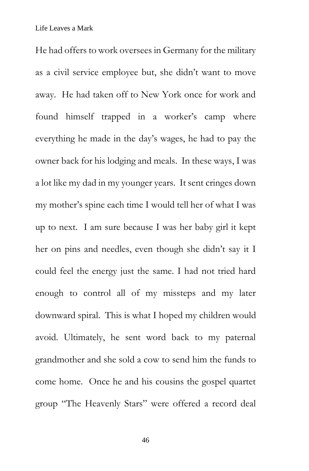He had offers to work oversees in Germany for the military as a civil service employee but, she didn't want to move away. He had taken off to New York once for work and found himself trapped in a worker's camp where everything he made in the day's wages, he had to pay the owner back for his lodging and meals. In these ways, I was a lot like my dad in my younger years. It sent cringes down my mother's spine each time I would tell her of what I was up to next. I am sure because I was her baby girl it kept her on pins and needles, even though she didn't say it I could feel the energy just the same. I had not tried hard enough to control all of my missteps and my later downward spiral. This is what I hoped my children would avoid. Ultimately, he sent word back to my paternal grandmother and she sold a cow to send him the funds to come home. Once he and his cousins the gospel quartet group "The Heavenly Stars" were offered a record deal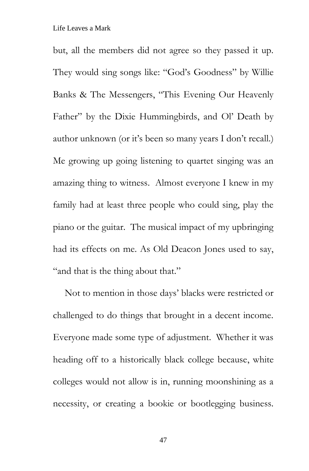but, all the members did not agree so they passed it up. They would sing songs like: "God's Goodness" by Willie Banks & The Messengers, "This Evening Our Heavenly Father" by the Dixie Hummingbirds, and Ol' Death by author unknown (or it's been so many years I don't recall.) Me growing up going listening to quartet singing was an amazing thing to witness. Almost everyone I knew in my family had at least three people who could sing, play the piano or the guitar. The musical impact of my upbringing had its effects on me. As Old Deacon Jones used to say, "and that is the thing about that."

Not to mention in those days' blacks were restricted or challenged to do things that brought in a decent income. Everyone made some type of adjustment. Whether it was heading off to a historically black college because, white colleges would not allow is in, running moonshining as a necessity, or creating a bookie or bootlegging business.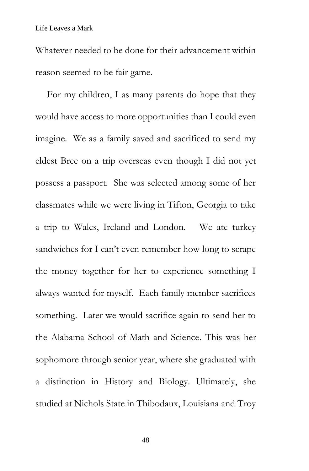Whatever needed to be done for their advancement within reason seemed to be fair game.

For my children, I as many parents do hope that they would have access to more opportunities than I could even imagine. We as a family saved and sacrificed to send my eldest Bree on a trip overseas even though I did not yet possess a passport. She was selected among some of her classmates while we were living in Tifton, Georgia to take a trip to Wales, Ireland and London. We ate turkey sandwiches for I can't even remember how long to scrape the money together for her to experience something I always wanted for myself. Each family member sacrifices something. Later we would sacrifice again to send her to the Alabama School of Math and Science. This was her sophomore through senior year, where she graduated with a distinction in History and Biology. Ultimately, she studied at Nichols State in Thibodaux, Louisiana and Troy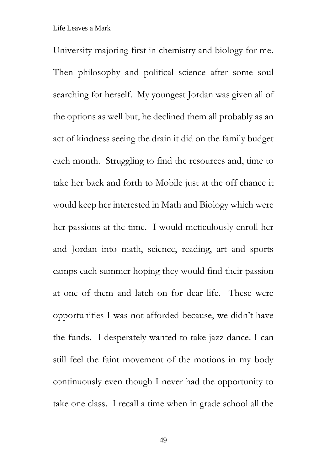University majoring first in chemistry and biology for me. Then philosophy and political science after some soul searching for herself. My youngest Jordan was given all of the options as well but, he declined them all probably as an act of kindness seeing the drain it did on the family budget each month. Struggling to find the resources and, time to take her back and forth to Mobile just at the off chance it would keep her interested in Math and Biology which were her passions at the time. I would meticulously enroll her and Jordan into math, science, reading, art and sports camps each summer hoping they would find their passion at one of them and latch on for dear life. These were opportunities I was not afforded because, we didn't have the funds. I desperately wanted to take jazz dance. I can still feel the faint movement of the motions in my body continuously even though I never had the opportunity to take one class. I recall a time when in grade school all the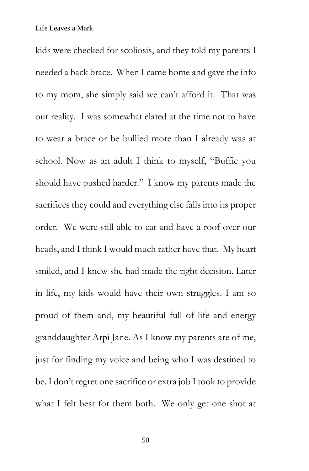kids were checked for scoliosis, and they told my parents I needed a back brace. When I came home and gave the info to my mom, she simply said we can't afford it. That was our reality. I was somewhat elated at the time not to have to wear a brace or be bullied more than I already was at school. Now as an adult I think to myself, "Buffie you should have pushed harder." I know my parents made the sacrifices they could and everything else falls into its proper order. We were still able to eat and have a roof over our heads, and I think I would much rather have that. My heart smiled, and I knew she had made the right decision. Later in life, my kids would have their own struggles. I am so proud of them and, my beautiful full of life and energy granddaughter Arpi Jane. As I know my parents are of me, just for finding my voice and being who I was destined to be. I don't regret one sacrifice or extra job I took to provide what I felt best for them both. We only get one shot at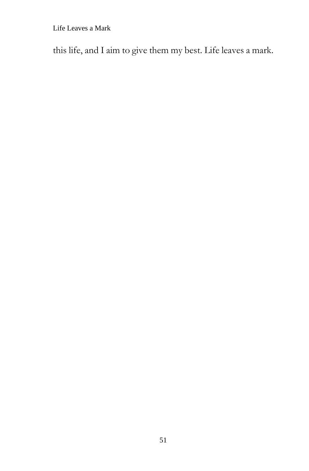Life Leaves a Mark

this life, and I aim to give them my best. Life leaves a mark.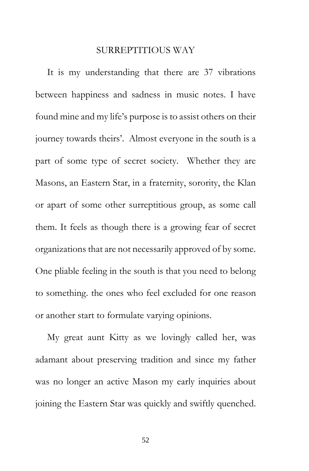## SURREPTITIOUS WAY

It is my understanding that there are 37 vibrations between happiness and sadness in music notes. I have found mine and my life's purpose is to assist others on their journey towards theirs'. Almost everyone in the south is a part of some type of secret society. Whether they are Masons, an Eastern Star, in a fraternity, sorority, the Klan or apart of some other surreptitious group, as some call them. It feels as though there is a growing fear of secret organizations that are not necessarily approved of by some. One pliable feeling in the south is that you need to belong to something. the ones who feel excluded for one reason or another start to formulate varying opinions.

My great aunt Kitty as we lovingly called her, was adamant about preserving tradition and since my father was no longer an active Mason my early inquiries about joining the Eastern Star was quickly and swiftly quenched.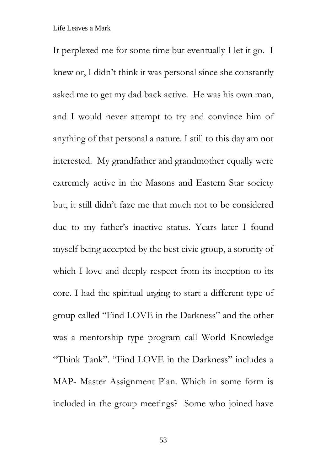It perplexed me for some time but eventually I let it go. I knew or, I didn't think it was personal since she constantly asked me to get my dad back active. He was his own man, and I would never attempt to try and convince him of anything of that personal a nature. I still to this day am not interested. My grandfather and grandmother equally were extremely active in the Masons and Eastern Star society but, it still didn't faze me that much not to be considered due to my father's inactive status. Years later I found myself being accepted by the best civic group, a sorority of which I love and deeply respect from its inception to its core. I had the spiritual urging to start a different type of group called "Find LOVE in the Darkness" and the other was a mentorship type program call World Knowledge "Think Tank". "Find LOVE in the Darkness" includes a MAP- Master Assignment Plan. Which in some form is included in the group meetings? Some who joined have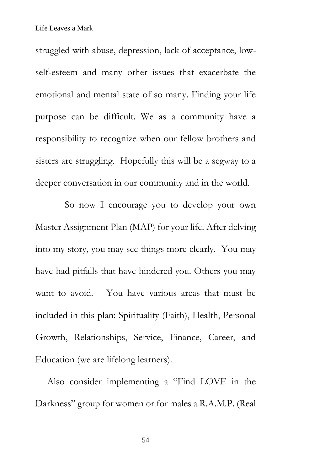struggled with abuse, depression, lack of acceptance, lowself-esteem and many other issues that exacerbate the emotional and mental state of so many. Finding your life purpose can be difficult. We as a community have a responsibility to recognize when our fellow brothers and sisters are struggling. Hopefully this will be a segway to a deeper conversation in our community and in the world.

So now I encourage you to develop your own Master Assignment Plan (MAP) for your life. After delving into my story, you may see things more clearly. You may have had pitfalls that have hindered you. Others you may want to avoid. You have various areas that must be included in this plan: Spirituality (Faith), Health, Personal Growth, Relationships, Service, Finance, Career, and Education (we are lifelong learners).

Also consider implementing a "Find LOVE in the Darkness" group for women or for males a R.A.M.P. (Real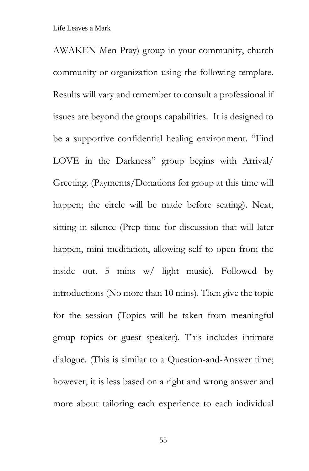AWAKEN Men Pray) group in your community, church community or organization using the following template. Results will vary and remember to consult a professional if issues are beyond the groups capabilities. It is designed to be a supportive confidential healing environment. "Find LOVE in the Darkness" group begins with Arrival/ Greeting. (Payments/Donations for group at this time will happen; the circle will be made before seating). Next, sitting in silence (Prep time for discussion that will later happen, mini meditation, allowing self to open from the inside out. 5 mins w/ light music). Followed by introductions (No more than 10 mins). Then give the topic for the session (Topics will be taken from meaningful group topics or guest speaker). This includes intimate dialogue. (This is similar to a Question-and-Answer time; however, it is less based on a right and wrong answer and more about tailoring each experience to each individual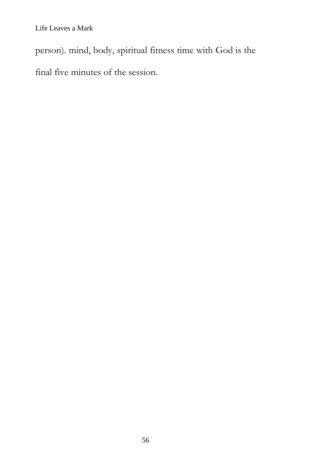person). mind, body, spiritual fitness time with God is the

final five minutes of the session.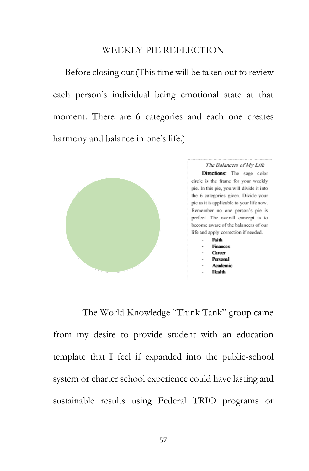### WEEKLY PIE REFLECTION

Before closing out (This time will be taken out to review each person's individual being emotional state at that moment. There are 6 categories and each one creates harmony and balance in one's life.)



The World Knowledge "Think Tank" group came from my desire to provide student with an education template that I feel if expanded into the public-school system or charter school experience could have lasting and sustainable results using Federal TRIO programs or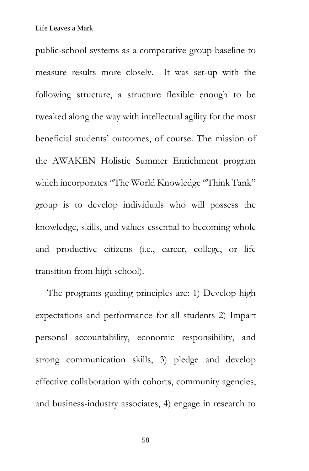public-school systems as a comparative group baseline to measure results more closely. It was set-up with the following structure, a structure flexible enough to be tweaked along the way with intellectual agility for the most beneficial students' outcomes, of course. The mission of the AWAKEN Holistic Summer Enrichment program which incorporates "The World Knowledge "Think Tank" group is to develop individuals who will possess the knowledge, skills, and values essential to becoming whole and productive citizens (i.e., career, college, or life transition from high school).

The programs guiding principles are: 1) Develop high expectations and performance for all students 2) Impart personal accountability, economic responsibility, and strong communication skills, 3) pledge and develop effective collaboration with cohorts, community agencies, and business-industry associates, 4) engage in research to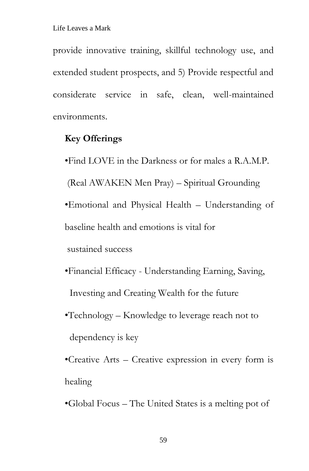provide innovative training, skillful technology use, and extended student prospects, and 5) Provide respectful and considerate service in safe, clean, well-maintained environments.

# **Key Offerings**

•Find LOVE in the Darkness or for males a R.A.M.P. (Real AWAKEN Men Pray) – Spiritual Grounding •Emotional and Physical Health – Understanding of baseline health and emotions is vital for sustained success

- •Financial Efficacy Understanding Earning, Saving, Investing and Creating Wealth for the future
- •Technology Knowledge to leverage reach not to dependency is key
- •Creative Arts Creative expression in every form is healing
- •Global Focus The United States is a melting pot of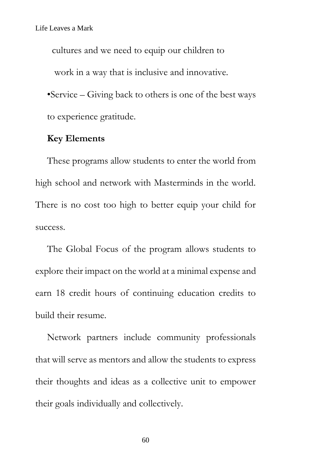cultures and we need to equip our children to work in a way that is inclusive and innovative. •Service – Giving back to others is one of the best ways to experience gratitude.

# **Key Elements**

These programs allow students to enter the world from high school and network with Masterminds in the world. There is no cost too high to better equip your child for success.

The Global Focus of the program allows students to explore their impact on the world at a minimal expense and earn 18 credit hours of continuing education credits to build their resume.

Network partners include community professionals that will serve as mentors and allow the students to express their thoughts and ideas as a collective unit to empower their goals individually and collectively.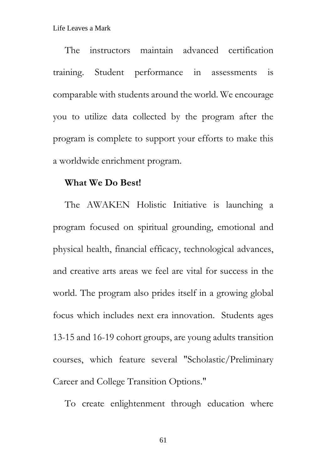### Life Leaves a Mark

The instructors maintain advanced certification training. Student performance in assessments is comparable with students around the world. We encourage you to utilize data collected by the program after the program is complete to support your efforts to make this a worldwide enrichment program.

## **What We Do Best!**

The AWAKEN Holistic Initiative is launching a program focused on spiritual grounding, emotional and physical health, financial efficacy, technological advances, and creative arts areas we feel are vital for success in the world. The program also prides itself in a growing global focus which includes next era innovation. Students ages 13-15 and 16-19 cohort groups, are young adults transition courses, which feature several "Scholastic/Preliminary Career and College Transition Options."

To create enlightenment through education where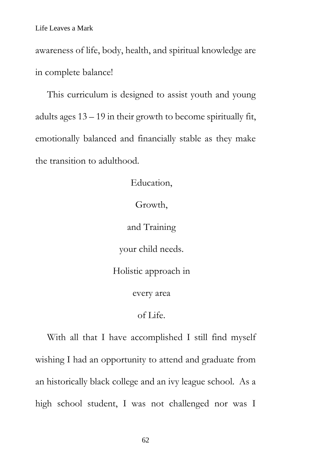awareness of life, body, health, and spiritual knowledge are in complete balance!

This curriculum is designed to assist youth and young adults ages 13 – 19 in their growth to become spiritually fit, emotionally balanced and financially stable as they make the transition to adulthood.

> Education, Growth, and Training your child needs. Holistic approach in every area of Life.

With all that I have accomplished I still find myself wishing I had an opportunity to attend and graduate from an historically black college and an ivy league school. As a high school student, I was not challenged nor was I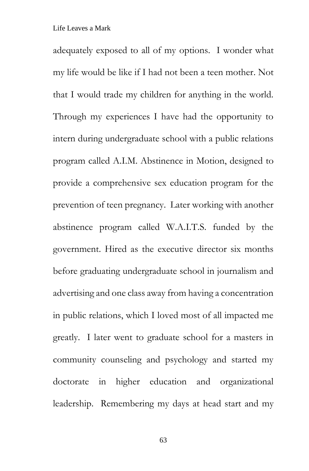adequately exposed to all of my options. I wonder what my life would be like if I had not been a teen mother. Not that I would trade my children for anything in the world. Through my experiences I have had the opportunity to intern during undergraduate school with a public relations program called A.I.M. Abstinence in Motion, designed to provide a comprehensive sex education program for the prevention of teen pregnancy. Later working with another abstinence program called W.A.I.T.S. funded by the government. Hired as the executive director six months before graduating undergraduate school in journalism and advertising and one class away from having a concentration in public relations, which I loved most of all impacted me greatly. I later went to graduate school for a masters in community counseling and psychology and started my doctorate in higher education and organizational leadership. Remembering my days at head start and my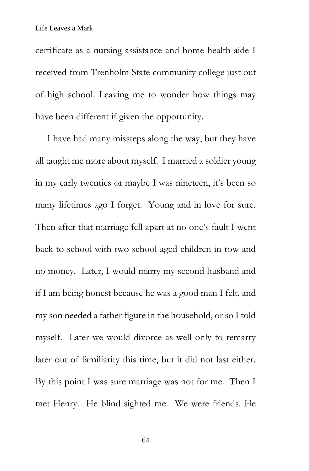certificate as a nursing assistance and home health aide I received from Trenholm State community college just out of high school. Leaving me to wonder how things may have been different if given the opportunity.

I have had many missteps along the way, but they have all taught me more about myself. I married a soldier young in my early twenties or maybe I was nineteen, it's been so many lifetimes ago I forget. Young and in love for sure. Then after that marriage fell apart at no one's fault I went back to school with two school aged children in tow and no money. Later, I would marry my second husband and if I am being honest because he was a good man I felt, and my son needed a father figure in the household, or so I told myself. Later we would divorce as well only to remarry later out of familiarity this time, but it did not last either. By this point I was sure marriage was not for me. Then I met Henry. He blind sighted me. We were friends. He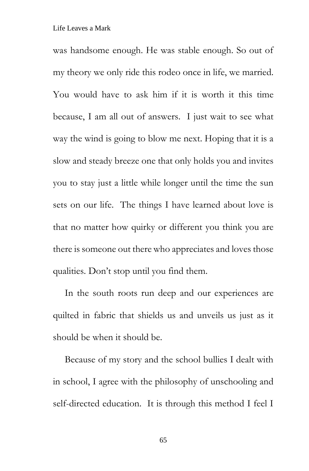was handsome enough. He was stable enough. So out of my theory we only ride this rodeo once in life, we married. You would have to ask him if it is worth it this time because, I am all out of answers. I just wait to see what way the wind is going to blow me next. Hoping that it is a slow and steady breeze one that only holds you and invites you to stay just a little while longer until the time the sun sets on our life. The things I have learned about love is that no matter how quirky or different you think you are there is someone out there who appreciates and loves those qualities. Don't stop until you find them.

In the south roots run deep and our experiences are quilted in fabric that shields us and unveils us just as it should be when it should be.

Because of my story and the school bullies I dealt with in school, I agree with the philosophy of unschooling and self-directed education. It is through this method I feel I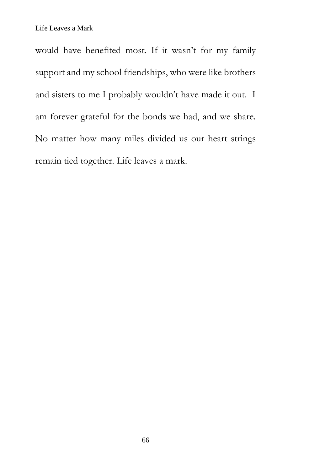would have benefited most. If it wasn't for my family support and my school friendships, who were like brothers and sisters to me I probably wouldn't have made it out. I am forever grateful for the bonds we had, and we share. No matter how many miles divided us our heart strings remain tied together. Life leaves a mark.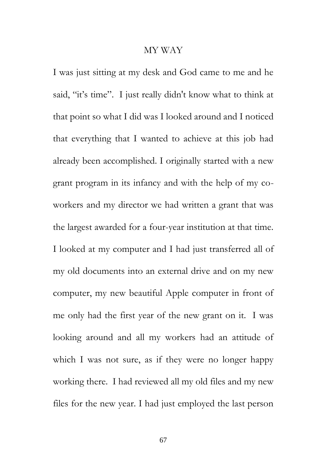### MY WAY

I was just sitting at my desk and God came to me and he said, "it's time". I just really didn't know what to think at that point so what I did was I looked around and I noticed that everything that I wanted to achieve at this job had already been accomplished. I originally started with a new grant program in its infancy and with the help of my coworkers and my director we had written a grant that was the largest awarded for a four-year institution at that time. I looked at my computer and I had just transferred all of my old documents into an external drive and on my new computer, my new beautiful Apple computer in front of me only had the first year of the new grant on it. I was looking around and all my workers had an attitude of which I was not sure, as if they were no longer happy working there. I had reviewed all my old files and my new files for the new year. I had just employed the last person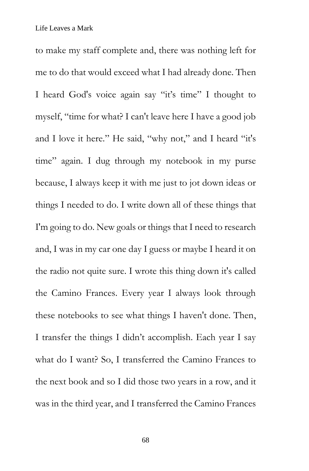to make my staff complete and, there was nothing left for me to do that would exceed what I had already done. Then I heard God's voice again say "it's time" I thought to myself, "time for what? I can't leave here I have a good job and I love it here." He said, "why not," and I heard "it's time" again. I dug through my notebook in my purse because, I always keep it with me just to jot down ideas or things I needed to do. I write down all of these things that I'm going to do. New goals or things that I need to research and, I was in my car one day I guess or maybe I heard it on the radio not quite sure. I wrote this thing down it's called the Camino Frances. Every year I always look through these notebooks to see what things I haven't done. Then, I transfer the things I didn't accomplish. Each year I say what do I want? So, I transferred the Camino Frances to the next book and so I did those two years in a row, and it was in the third year, and I transferred the Camino Frances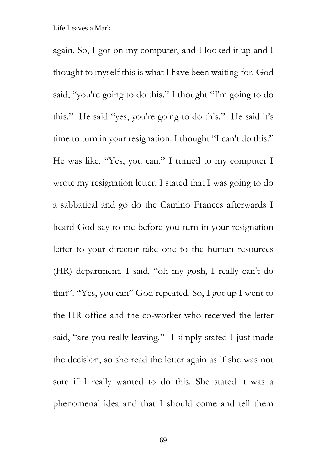again. So, I got on my computer, and I looked it up and I thought to myself this is what I have been waiting for. God said, "you're going to do this." I thought "I'm going to do this." He said "yes, you're going to do this." He said it's time to turn in your resignation. I thought "I can't do this." He was like. "Yes, you can." I turned to my computer I wrote my resignation letter. I stated that I was going to do a sabbatical and go do the Camino Frances afterwards I heard God say to me before you turn in your resignation letter to your director take one to the human resources (HR) department. I said, "oh my gosh, I really can't do that". "Yes, you can" God repeated. So, I got up I went to the HR office and the co-worker who received the letter said, "are you really leaving." I simply stated I just made the decision, so she read the letter again as if she was not sure if I really wanted to do this. She stated it was a phenomenal idea and that I should come and tell them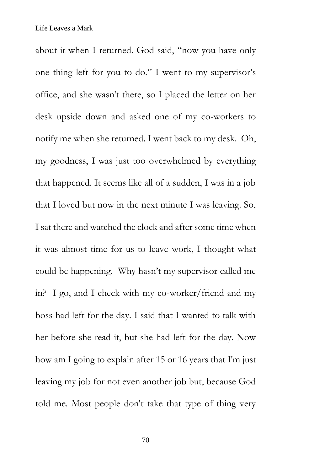about it when I returned. God said, "now you have only one thing left for you to do." I went to my supervisor's office, and she wasn't there, so I placed the letter on her desk upside down and asked one of my co-workers to notify me when she returned. I went back to my desk. Oh, my goodness, I was just too overwhelmed by everything that happened. It seems like all of a sudden, I was in a job that I loved but now in the next minute I was leaving. So, I sat there and watched the clock and after some time when it was almost time for us to leave work, I thought what could be happening. Why hasn't my supervisor called me in? I go, and I check with my co-worker/friend and my boss had left for the day. I said that I wanted to talk with her before she read it, but she had left for the day. Now how am I going to explain after 15 or 16 years that I'm just leaving my job for not even another job but, because God told me. Most people don't take that type of thing very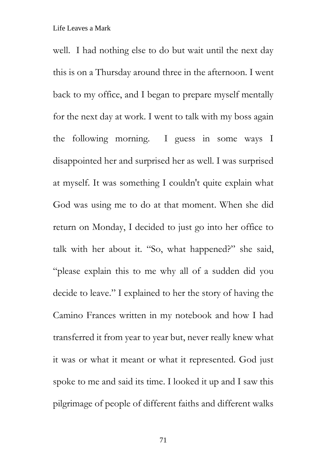well. I had nothing else to do but wait until the next day this is on a Thursday around three in the afternoon. I went back to my office, and I began to prepare myself mentally for the next day at work. I went to talk with my boss again the following morning. I guess in some ways I disappointed her and surprised her as well. I was surprised at myself. It was something I couldn't quite explain what God was using me to do at that moment. When she did return on Monday, I decided to just go into her office to talk with her about it. "So, what happened?" she said, "please explain this to me why all of a sudden did you decide to leave." I explained to her the story of having the Camino Frances written in my notebook and how I had transferred it from year to year but, never really knew what it was or what it meant or what it represented. God just spoke to me and said its time. I looked it up and I saw this pilgrimage of people of different faiths and different walks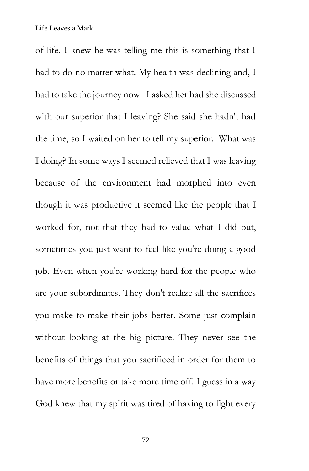of life. I knew he was telling me this is something that I had to do no matter what. My health was declining and, I had to take the journey now. I asked her had she discussed with our superior that I leaving? She said she hadn't had the time, so I waited on her to tell my superior. What was I doing? In some ways I seemed relieved that I was leaving because of the environment had morphed into even though it was productive it seemed like the people that I worked for, not that they had to value what I did but, sometimes you just want to feel like you're doing a good job. Even when you're working hard for the people who are your subordinates. They don't realize all the sacrifices you make to make their jobs better. Some just complain without looking at the big picture. They never see the benefits of things that you sacrificed in order for them to have more benefits or take more time off. I guess in a way God knew that my spirit was tired of having to fight every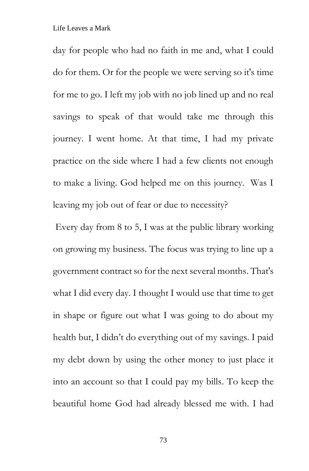day for people who had no faith in me and, what I could do for them. Or for the people we were serving so it's time for me to go. I left my job with no job lined up and no real savings to speak of that would take me through this journey. I went home. At that time, I had my private practice on the side where I had a few clients not enough to make a living. God helped me on this journey. Was I leaving my job out of fear or due to necessity?

Every day from 8 to 5, I was at the public library working on growing my business. The focus was trying to line up a government contract so for the next several months. That's what I did every day. I thought I would use that time to get in shape or figure out what I was going to do about my health but, I didn't do everything out of my savings. I paid my debt down by using the other money to just place it into an account so that I could pay my bills. To keep the beautiful home God had already blessed me with. I had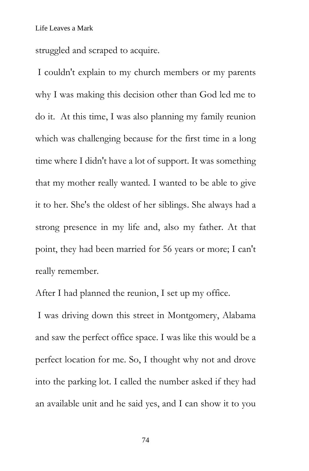struggled and scraped to acquire.

I couldn't explain to my church members or my parents why I was making this decision other than God led me to do it. At this time, I was also planning my family reunion which was challenging because for the first time in a long time where I didn't have a lot of support. It was something that my mother really wanted. I wanted to be able to give it to her. She's the oldest of her siblings. She always had a strong presence in my life and, also my father. At that point, they had been married for 56 years or more; I can't really remember.

After I had planned the reunion, I set up my office.

I was driving down this street in Montgomery, Alabama and saw the perfect office space. I was like this would be a perfect location for me. So, I thought why not and drove into the parking lot. I called the number asked if they had an available unit and he said yes, and I can show it to you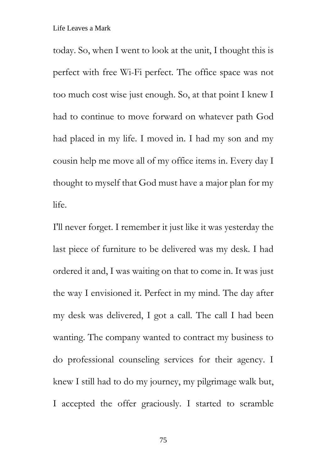today. So, when I went to look at the unit, I thought this is perfect with free Wi-Fi perfect. The office space was not too much cost wise just enough. So, at that point I knew I had to continue to move forward on whatever path God had placed in my life. I moved in. I had my son and my cousin help me move all of my office items in. Every day I thought to myself that God must have a major plan for my life.

I'll never forget. I remember it just like it was yesterday the last piece of furniture to be delivered was my desk. I had ordered it and, I was waiting on that to come in. It was just the way I envisioned it. Perfect in my mind. The day after my desk was delivered, I got a call. The call I had been wanting. The company wanted to contract my business to do professional counseling services for their agency. I knew I still had to do my journey, my pilgrimage walk but, I accepted the offer graciously. I started to scramble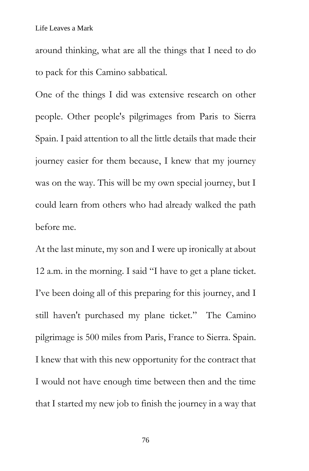around thinking, what are all the things that I need to do to pack for this Camino sabbatical.

One of the things I did was extensive research on other people. Other people's pilgrimages from Paris to Sierra Spain. I paid attention to all the little details that made their journey easier for them because, I knew that my journey was on the way. This will be my own special journey, but I could learn from others who had already walked the path before me.

At the last minute, my son and I were up ironically at about 12 a.m. in the morning. I said "I have to get a plane ticket. I've been doing all of this preparing for this journey, and I still haven't purchased my plane ticket." The Camino pilgrimage is 500 miles from Paris, France to Sierra. Spain. I knew that with this new opportunity for the contract that I would not have enough time between then and the time that I started my new job to finish the journey in a way that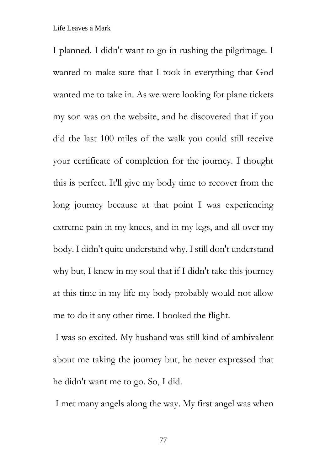I planned. I didn't want to go in rushing the pilgrimage. I wanted to make sure that I took in everything that God wanted me to take in. As we were looking for plane tickets my son was on the website, and he discovered that if you did the last 100 miles of the walk you could still receive your certificate of completion for the journey. I thought this is perfect. It'll give my body time to recover from the long journey because at that point I was experiencing extreme pain in my knees, and in my legs, and all over my body. I didn't quite understand why. I still don't understand why but, I knew in my soul that if I didn't take this journey at this time in my life my body probably would not allow me to do it any other time. I booked the flight.

I was so excited. My husband was still kind of ambivalent about me taking the journey but, he never expressed that he didn't want me to go. So, I did.

I met many angels along the way. My first angel was when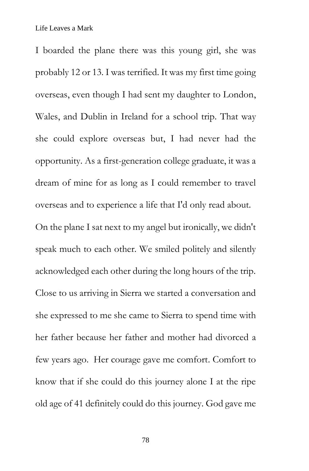Life Leaves a Mark

I boarded the plane there was this young girl, she was probably 12 or 13. I was terrified. It was my first time going overseas, even though I had sent my daughter to London, Wales, and Dublin in Ireland for a school trip. That way she could explore overseas but, I had never had the opportunity. As a first-generation college graduate, it was a dream of mine for as long as I could remember to travel overseas and to experience a life that I'd only read about. On the plane I sat next to my angel but ironically, we didn't speak much to each other. We smiled politely and silently acknowledged each other during the long hours of the trip. Close to us arriving in Sierra we started a conversation and she expressed to me she came to Sierra to spend time with her father because her father and mother had divorced a few years ago. Her courage gave me comfort. Comfort to know that if she could do this journey alone I at the ripe old age of 41 definitely could do this journey. God gave me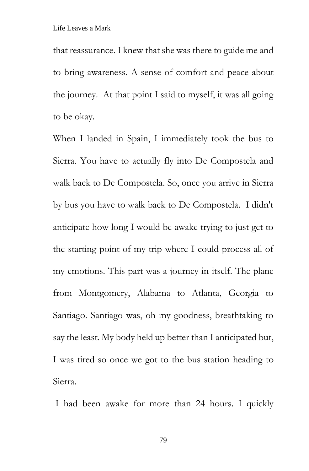that reassurance. I knew that she was there to guide me and to bring awareness. A sense of comfort and peace about the journey. At that point I said to myself, it was all going to be okay.

When I landed in Spain, I immediately took the bus to Sierra. You have to actually fly into De Compostela and walk back to De Compostela. So, once you arrive in Sierra by bus you have to walk back to De Compostela. I didn't anticipate how long I would be awake trying to just get to the starting point of my trip where I could process all of my emotions. This part was a journey in itself. The plane from Montgomery, Alabama to Atlanta, Georgia to Santiago. Santiago was, oh my goodness, breathtaking to say the least. My body held up better than I anticipated but, I was tired so once we got to the bus station heading to Sierra.

I had been awake for more than 24 hours. I quickly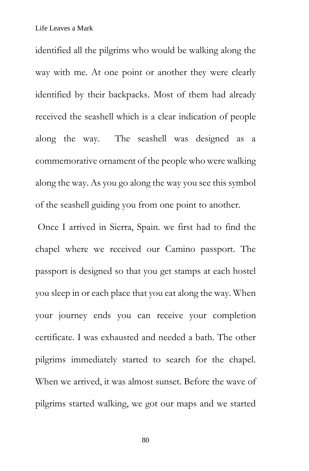identified all the pilgrims who would be walking along the way with me. At one point or another they were clearly identified by their backpacks. Most of them had already received the seashell which is a clear indication of people along the way. The seashell was designed as a commemorative ornament of the people who were walking along the way. As you go along the way you see this symbol of the seashell guiding you from one point to another.

Once I arrived in Sierra, Spain. we first had to find the chapel where we received our Camino passport. The passport is designed so that you get stamps at each hostel you sleep in or each place that you eat along the way. When your journey ends you can receive your completion certificate. I was exhausted and needed a bath. The other pilgrims immediately started to search for the chapel. When we arrived, it was almost sunset. Before the wave of pilgrims started walking, we got our maps and we started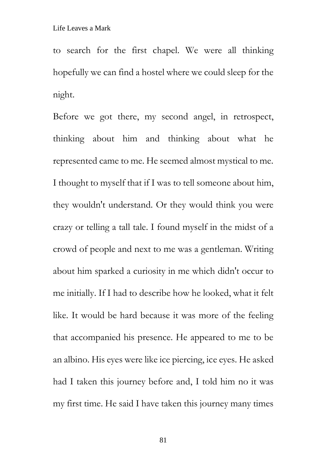#### Life Leaves a Mark

to search for the first chapel. We were all thinking hopefully we can find a hostel where we could sleep for the night.

Before we got there, my second angel, in retrospect, thinking about him and thinking about what he represented came to me. He seemed almost mystical to me. I thought to myself that if I was to tell someone about him, they wouldn't understand. Or they would think you were crazy or telling a tall tale. I found myself in the midst of a crowd of people and next to me was a gentleman. Writing about him sparked a curiosity in me which didn't occur to me initially. If I had to describe how he looked, what it felt like. It would be hard because it was more of the feeling that accompanied his presence. He appeared to me to be an albino. His eyes were like ice piercing, ice eyes. He asked had I taken this journey before and, I told him no it was my first time. He said I have taken this journey many times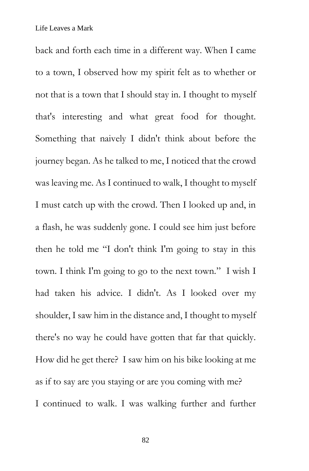back and forth each time in a different way. When I came to a town, I observed how my spirit felt as to whether or not that is a town that I should stay in. I thought to myself that's interesting and what great food for thought. Something that naively I didn't think about before the journey began. As he talked to me, I noticed that the crowd was leaving me. As I continued to walk, I thought to myself I must catch up with the crowd. Then I looked up and, in a flash, he was suddenly gone. I could see him just before then he told me "I don't think I'm going to stay in this town. I think I'm going to go to the next town." I wish I had taken his advice. I didn't. As I looked over my shoulder, I saw him in the distance and, I thought to myself there's no way he could have gotten that far that quickly. How did he get there? I saw him on his bike looking at me as if to say are you staying or are you coming with me? I continued to walk. I was walking further and further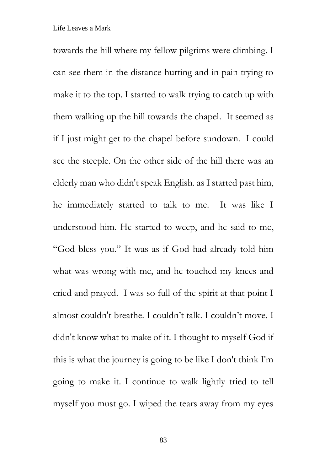towards the hill where my fellow pilgrims were climbing. I can see them in the distance hurting and in pain trying to make it to the top. I started to walk trying to catch up with them walking up the hill towards the chapel. It seemed as if I just might get to the chapel before sundown. I could see the steeple. On the other side of the hill there was an elderly man who didn't speak English. as I started past him, he immediately started to talk to me. It was like I understood him. He started to weep, and he said to me, "God bless you." It was as if God had already told him what was wrong with me, and he touched my knees and cried and prayed. I was so full of the spirit at that point I almost couldn't breathe. I couldn't talk. I couldn't move. I didn't know what to make of it. I thought to myself God if this is what the journey is going to be like I don't think I'm going to make it. I continue to walk lightly tried to tell myself you must go. I wiped the tears away from my eyes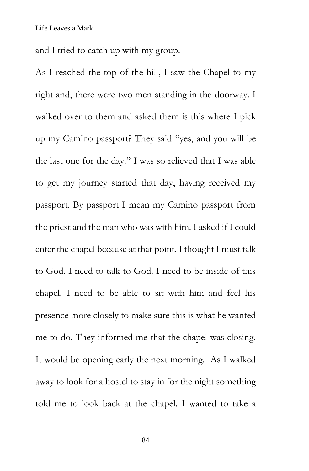and I tried to catch up with my group.

As I reached the top of the hill, I saw the Chapel to my right and, there were two men standing in the doorway. I walked over to them and asked them is this where I pick up my Camino passport? They said "yes, and you will be the last one for the day." I was so relieved that I was able to get my journey started that day, having received my passport. By passport I mean my Camino passport from the priest and the man who was with him. I asked if I could enter the chapel because at that point, I thought I must talk to God. I need to talk to God. I need to be inside of this chapel. I need to be able to sit with him and feel his presence more closely to make sure this is what he wanted me to do. They informed me that the chapel was closing. It would be opening early the next morning. As I walked away to look for a hostel to stay in for the night something told me to look back at the chapel. I wanted to take a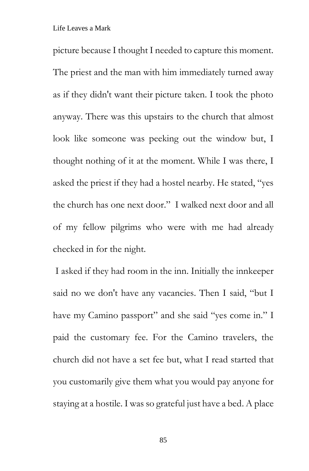picture because I thought I needed to capture this moment. The priest and the man with him immediately turned away as if they didn't want their picture taken. I took the photo anyway. There was this upstairs to the church that almost look like someone was peeking out the window but, I thought nothing of it at the moment. While I was there, I asked the priest if they had a hostel nearby. He stated, "yes the church has one next door." I walked next door and all of my fellow pilgrims who were with me had already checked in for the night.

I asked if they had room in the inn. Initially the innkeeper said no we don't have any vacancies. Then I said, "but I have my Camino passport" and she said "yes come in." I paid the customary fee. For the Camino travelers, the church did not have a set fee but, what I read started that you customarily give them what you would pay anyone for staying at a hostile. I was so grateful just have a bed. A place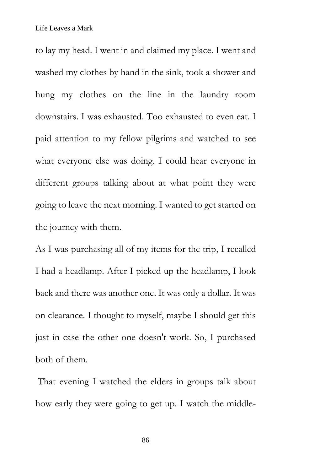to lay my head. I went in and claimed my place. I went and washed my clothes by hand in the sink, took a shower and hung my clothes on the line in the laundry room downstairs. I was exhausted. Too exhausted to even eat. I paid attention to my fellow pilgrims and watched to see what everyone else was doing. I could hear everyone in different groups talking about at what point they were going to leave the next morning. I wanted to get started on the journey with them.

As I was purchasing all of my items for the trip, I recalled I had a headlamp. After I picked up the headlamp, I look back and there was another one. It was only a dollar. It was on clearance. I thought to myself, maybe I should get this just in case the other one doesn't work. So, I purchased both of them.

That evening I watched the elders in groups talk about how early they were going to get up. I watch the middle-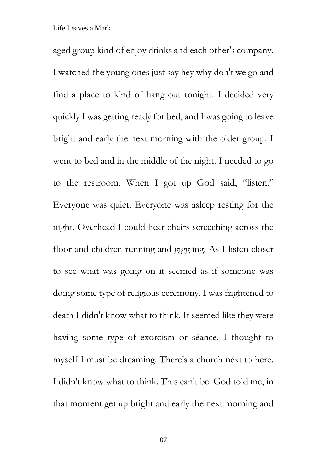aged group kind of enjoy drinks and each other's company. I watched the young ones just say hey why don't we go and find a place to kind of hang out tonight. I decided very quickly I was getting ready for bed, and I was going to leave bright and early the next morning with the older group. I went to bed and in the middle of the night. I needed to go to the restroom. When I got up God said, "listen." Everyone was quiet. Everyone was asleep resting for the night. Overhead I could hear chairs screeching across the floor and children running and giggling. As I listen closer to see what was going on it seemed as if someone was doing some type of religious ceremony. I was frightened to death I didn't know what to think. It seemed like they were having some type of exorcism or séance. I thought to myself I must be dreaming. There's a church next to here. I didn't know what to think. This can't be. God told me, in that moment get up bright and early the next morning and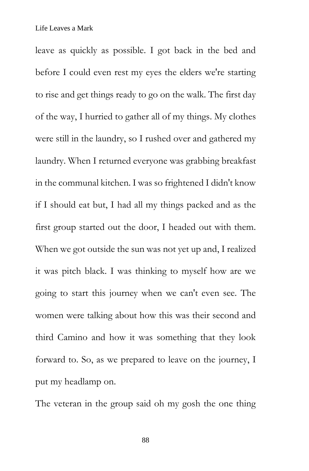leave as quickly as possible. I got back in the bed and before I could even rest my eyes the elders we're starting to rise and get things ready to go on the walk. The first day of the way, I hurried to gather all of my things. My clothes were still in the laundry, so I rushed over and gathered my laundry. When I returned everyone was grabbing breakfast in the communal kitchen. I was so frightened I didn't know if I should eat but, I had all my things packed and as the first group started out the door, I headed out with them. When we got outside the sun was not yet up and, I realized it was pitch black. I was thinking to myself how are we going to start this journey when we can't even see. The women were talking about how this was their second and third Camino and how it was something that they look forward to. So, as we prepared to leave on the journey, I put my headlamp on.

The veteran in the group said oh my gosh the one thing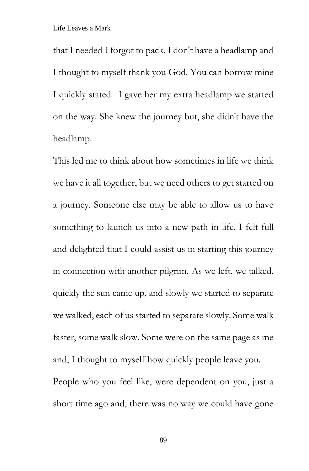### Life Leaves a Mark

that I needed I forgot to pack. I don't have a headlamp and I thought to myself thank you God. You can borrow mine I quickly stated. I gave her my extra headlamp we started on the way. She knew the journey but, she didn't have the headlamp.

This led me to think about how sometimes in life we think we have it all together, but we need others to get started on a journey. Someone else may be able to allow us to have something to launch us into a new path in life. I felt full and delighted that I could assist us in starting this journey in connection with another pilgrim. As we left, we talked, quickly the sun came up, and slowly we started to separate we walked, each of us started to separate slowly. Some walk faster, some walk slow. Some were on the same page as me and, I thought to myself how quickly people leave you. People who you feel like, were dependent on you, just a short time ago and, there was no way we could have gone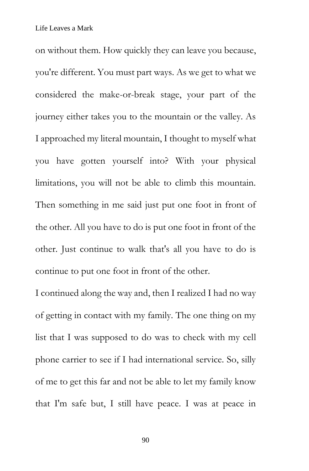on without them. How quickly they can leave you because, you're different. You must part ways. As we get to what we considered the make-or-break stage, your part of the journey either takes you to the mountain or the valley. As I approached my literal mountain, I thought to myself what you have gotten yourself into? With your physical limitations, you will not be able to climb this mountain. Then something in me said just put one foot in front of the other. All you have to do is put one foot in front of the other. Just continue to walk that's all you have to do is continue to put one foot in front of the other.

I continued along the way and, then I realized I had no way of getting in contact with my family. The one thing on my list that I was supposed to do was to check with my cell phone carrier to see if I had international service. So, silly of me to get this far and not be able to let my family know that I'm safe but, I still have peace. I was at peace in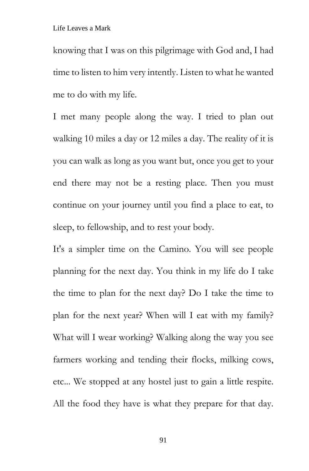Life Leaves a Mark

knowing that I was on this pilgrimage with God and, I had time to listen to him very intently. Listen to what he wanted me to do with my life.

I met many people along the way. I tried to plan out walking 10 miles a day or 12 miles a day. The reality of it is you can walk as long as you want but, once you get to your end there may not be a resting place. Then you must continue on your journey until you find a place to eat, to sleep, to fellowship, and to rest your body.

It's a simpler time on the Camino. You will see people planning for the next day. You think in my life do I take the time to plan for the next day? Do I take the time to plan for the next year? When will I eat with my family? What will I wear working? Walking along the way you see farmers working and tending their flocks, milking cows, etc... We stopped at any hostel just to gain a little respite. All the food they have is what they prepare for that day.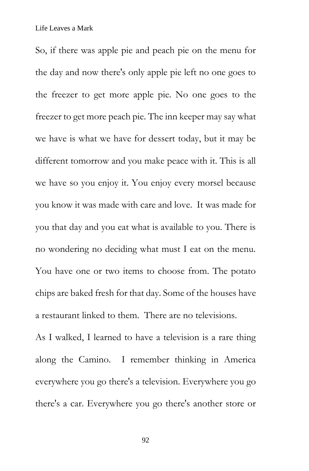So, if there was apple pie and peach pie on the menu for the day and now there's only apple pie left no one goes to the freezer to get more apple pie. No one goes to the freezer to get more peach pie. The inn keeper may say what we have is what we have for dessert today, but it may be different tomorrow and you make peace with it. This is all we have so you enjoy it. You enjoy every morsel because you know it was made with care and love. It was made for you that day and you eat what is available to you. There is no wondering no deciding what must I eat on the menu. You have one or two items to choose from. The potato chips are baked fresh for that day. Some of the houses have a restaurant linked to them. There are no televisions.

As I walked, I learned to have a television is a rare thing along the Camino. I remember thinking in America everywhere you go there's a television. Everywhere you go there's a car. Everywhere you go there's another store or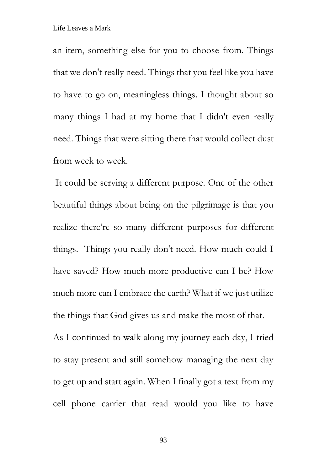an item, something else for you to choose from. Things that we don't really need. Things that you feel like you have to have to go on, meaningless things. I thought about so many things I had at my home that I didn't even really need. Things that were sitting there that would collect dust from week to week.

It could be serving a different purpose. One of the other beautiful things about being on the pilgrimage is that you realize there're so many different purposes for different things. Things you really don't need. How much could I have saved? How much more productive can I be? How much more can I embrace the earth? What if we just utilize the things that God gives us and make the most of that.

As I continued to walk along my journey each day, I tried to stay present and still somehow managing the next day to get up and start again. When I finally got a text from my cell phone carrier that read would you like to have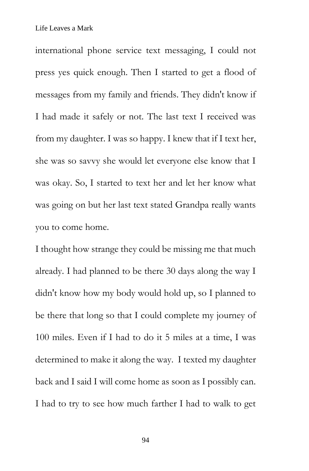international phone service text messaging, I could not press yes quick enough. Then I started to get a flood of messages from my family and friends. They didn't know if I had made it safely or not. The last text I received was from my daughter. I was so happy. I knew that if I text her, she was so savvy she would let everyone else know that I was okay. So, I started to text her and let her know what was going on but her last text stated Grandpa really wants you to come home.

I thought how strange they could be missing me that much already. I had planned to be there 30 days along the way I didn't know how my body would hold up, so I planned to be there that long so that I could complete my journey of 100 miles. Even if I had to do it 5 miles at a time, I was determined to make it along the way. I texted my daughter back and I said I will come home as soon as I possibly can. I had to try to see how much farther I had to walk to get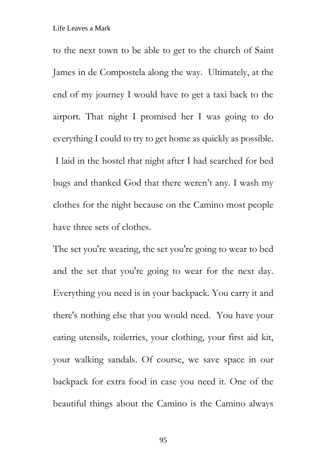to the next town to be able to get to the church of Saint James in de Compostela along the way. Ultimately, at the end of my journey I would have to get a taxi back to the airport. That night I promised her I was going to do everything I could to try to get home as quickly as possible. I laid in the hostel that night after I had searched for bed bugs and thanked God that there weren't any. I wash my clothes for the night because on the Camino most people have three sets of clothes.

The set you're wearing, the set you're going to wear to bed and the set that you're going to wear for the next day. Everything you need is in your backpack. You carry it and there's nothing else that you would need. You have your eating utensils, toiletries, your clothing, your first aid kit, your walking sandals. Of course, we save space in our backpack for extra food in case you need it. One of the beautiful things about the Camino is the Camino always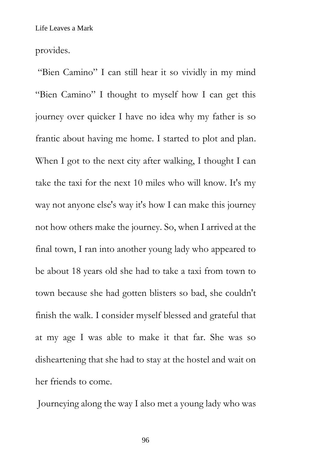provides.

"Bien Camino" I can still hear it so vividly in my mind "Bien Camino" I thought to myself how I can get this journey over quicker I have no idea why my father is so frantic about having me home. I started to plot and plan. When I got to the next city after walking, I thought I can take the taxi for the next 10 miles who will know. It's my way not anyone else's way it's how I can make this journey not how others make the journey. So, when I arrived at the final town, I ran into another young lady who appeared to be about 18 years old she had to take a taxi from town to town because she had gotten blisters so bad, she couldn't finish the walk. I consider myself blessed and grateful that at my age I was able to make it that far. She was so disheartening that she had to stay at the hostel and wait on her friends to come.

Journeying along the way I also met a young lady who was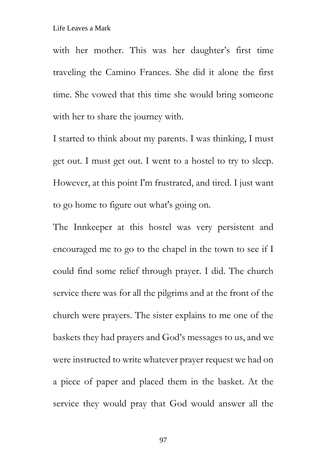with her mother. This was her daughter's first time traveling the Camino Frances. She did it alone the first time. She vowed that this time she would bring someone with her to share the journey with.

I started to think about my parents. I was thinking, I must get out. I must get out. I went to a hostel to try to sleep. However, at this point I'm frustrated, and tired. I just want to go home to figure out what's going on.

The Innkeeper at this hostel was very persistent and encouraged me to go to the chapel in the town to see if I could find some relief through prayer. I did. The church service there was for all the pilgrims and at the front of the church were prayers. The sister explains to me one of the baskets they had prayers and God's messages to us, and we were instructed to write whatever prayer request we had on a piece of paper and placed them in the basket. At the service they would pray that God would answer all the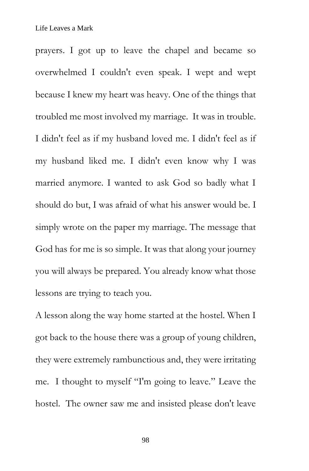prayers. I got up to leave the chapel and became so overwhelmed I couldn't even speak. I wept and wept because I knew my heart was heavy. One of the things that troubled me most involved my marriage. It was in trouble. I didn't feel as if my husband loved me. I didn't feel as if my husband liked me. I didn't even know why I was married anymore. I wanted to ask God so badly what I should do but, I was afraid of what his answer would be. I simply wrote on the paper my marriage. The message that God has for me is so simple. It was that along your journey you will always be prepared. You already know what those lessons are trying to teach you.

A lesson along the way home started at the hostel. When I got back to the house there was a group of young children, they were extremely rambunctious and, they were irritating me. I thought to myself "I'm going to leave." Leave the hostel. The owner saw me and insisted please don't leave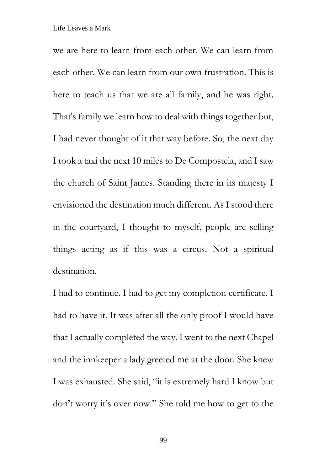we are here to learn from each other. We can learn from each other. We can learn from our own frustration. This is here to teach us that we are all family, and he was right. That's family we learn how to deal with things together but, I had never thought of it that way before. So, the next day I took a taxi the next 10 miles to De Compostela, and I saw the church of Saint James. Standing there in its majesty I envisioned the destination much different. As I stood there in the courtyard, I thought to myself, people are selling things acting as if this was a circus. Not a spiritual destination.

I had to continue. I had to get my completion certificate. I had to have it. It was after all the only proof I would have that I actually completed the way. I went to the next Chapel and the innkeeper a lady greeted me at the door. She knew I was exhausted. She said, "it is extremely hard I know but don't worry it's over now." She told me how to get to the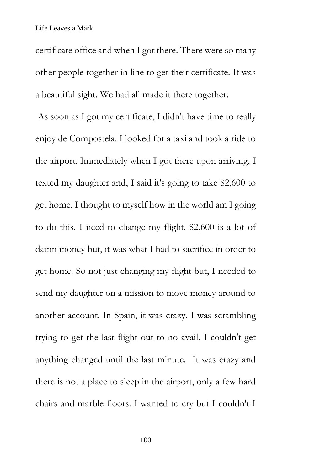certificate office and when I got there. There were so many other people together in line to get their certificate. It was a beautiful sight. We had all made it there together.

As soon as I got my certificate, I didn't have time to really enjoy de Compostela. I looked for a taxi and took a ride to the airport. Immediately when I got there upon arriving, I texted my daughter and, I said it's going to take \$2,600 to get home. I thought to myself how in the world am I going to do this. I need to change my flight. \$2,600 is a lot of damn money but, it was what I had to sacrifice in order to get home. So not just changing my flight but, I needed to send my daughter on a mission to move money around to another account. In Spain, it was crazy. I was scrambling trying to get the last flight out to no avail. I couldn't get anything changed until the last minute. It was crazy and there is not a place to sleep in the airport, only a few hard chairs and marble floors. I wanted to cry but I couldn't I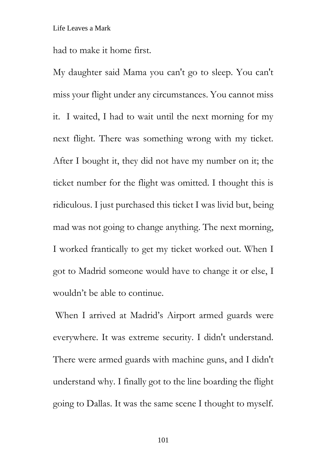had to make it home first.

My daughter said Mama you can't go to sleep. You can't miss your flight under any circumstances. You cannot miss it. I waited, I had to wait until the next morning for my next flight. There was something wrong with my ticket. After I bought it, they did not have my number on it; the ticket number for the flight was omitted. I thought this is ridiculous. I just purchased this ticket I was livid but, being mad was not going to change anything. The next morning, I worked frantically to get my ticket worked out. When I got to Madrid someone would have to change it or else, I wouldn't be able to continue.

When I arrived at Madrid's Airport armed guards were everywhere. It was extreme security. I didn't understand. There were armed guards with machine guns, and I didn't understand why. I finally got to the line boarding the flight going to Dallas. It was the same scene I thought to myself.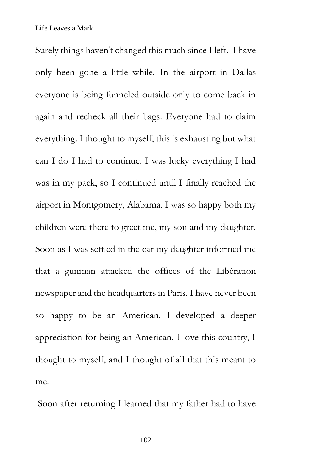Surely things haven't changed this much since I left. I have only been gone a little while. In the airport in Dallas everyone is being funneled outside only to come back in again and recheck all their bags. Everyone had to claim everything. I thought to myself, this is exhausting but what can I do I had to continue. I was lucky everything I had was in my pack, so I continued until I finally reached the airport in Montgomery, Alabama. I was so happy both my children were there to greet me, my son and my daughter. Soon as I was settled in the car my daughter informed me that a gunman attacked the offices of the Libération newspaper and the headquarters in Paris. I have never been so happy to be an American. I developed a deeper appreciation for being an American. I love this country, I thought to myself, and I thought of all that this meant to me.

Soon after returning I learned that my father had to have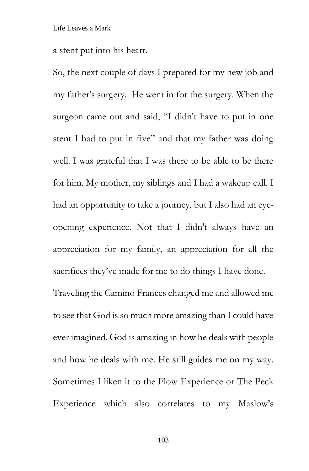a stent put into his heart.

So, the next couple of days I prepared for my new job and my father's surgery. He went in for the surgery. When the surgeon came out and said, "I didn't have to put in one stent I had to put in five" and that my father was doing well. I was grateful that I was there to be able to be there for him. My mother, my siblings and I had a wakeup call. I had an opportunity to take a journey, but I also had an eyeopening experience. Not that I didn't always have an appreciation for my family, an appreciation for all the sacrifices they've made for me to do things I have done.

Traveling the Camino Frances changed me and allowed me to see that God is so much more amazing than I could have ever imagined. God is amazing in how he deals with people and how he deals with me. He still guides me on my way. Sometimes I liken it to the Flow Experience or The Peck Experience which also correlates to my Maslow's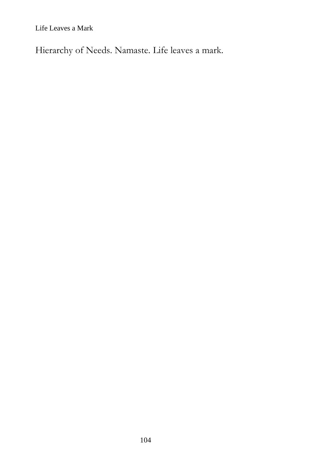Hierarchy of Needs. Namaste. Life leaves a mark.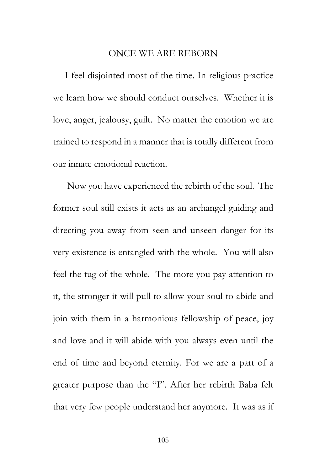## ONCE WE ARE REBORN

I feel disjointed most of the time. In religious practice we learn how we should conduct ourselves. Whether it is love, anger, jealousy, guilt. No matter the emotion we are trained to respond in a manner that is totally different from our innate emotional reaction.

Now you have experienced the rebirth of the soul. The former soul still exists it acts as an archangel guiding and directing you away from seen and unseen danger for its very existence is entangled with the whole. You will also feel the tug of the whole. The more you pay attention to it, the stronger it will pull to allow your soul to abide and join with them in a harmonious fellowship of peace, joy and love and it will abide with you always even until the end of time and beyond eternity. For we are a part of a greater purpose than the "I". After her rebirth Baba felt that very few people understand her anymore. It was as if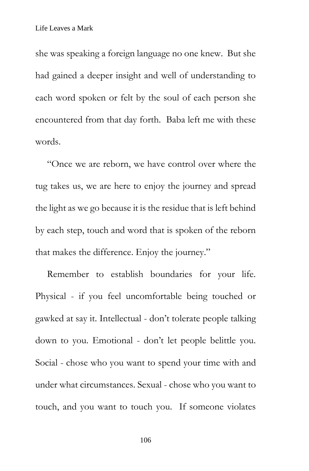she was speaking a foreign language no one knew. But she had gained a deeper insight and well of understanding to each word spoken or felt by the soul of each person she encountered from that day forth. Baba left me with these words.

"Once we are reborn, we have control over where the tug takes us, we are here to enjoy the journey and spread the light as we go because it is the residue that is left behind by each step, touch and word that is spoken of the reborn that makes the difference. Enjoy the journey."

Remember to establish boundaries for your life. Physical - if you feel uncomfortable being touched or gawked at say it. Intellectual - don't tolerate people talking down to you. Emotional - don't let people belittle you. Social - chose who you want to spend your time with and under what circumstances. Sexual - chose who you want to touch, and you want to touch you. If someone violates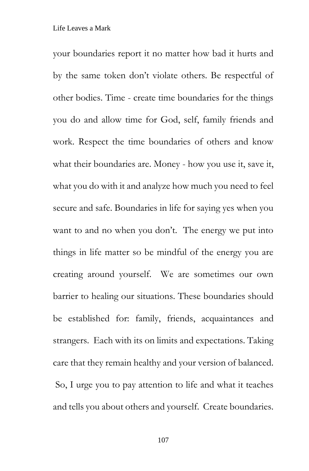your boundaries report it no matter how bad it hurts and by the same token don't violate others. Be respectful of other bodies. Time - create time boundaries for the things you do and allow time for God, self, family friends and work. Respect the time boundaries of others and know what their boundaries are. Money - how you use it, save it, what you do with it and analyze how much you need to feel secure and safe. Boundaries in life for saying yes when you want to and no when you don't. The energy we put into things in life matter so be mindful of the energy you are creating around yourself. We are sometimes our own barrier to healing our situations. These boundaries should be established for: family, friends, acquaintances and strangers. Each with its on limits and expectations. Taking care that they remain healthy and your version of balanced. So, I urge you to pay attention to life and what it teaches and tells you about others and yourself. Create boundaries.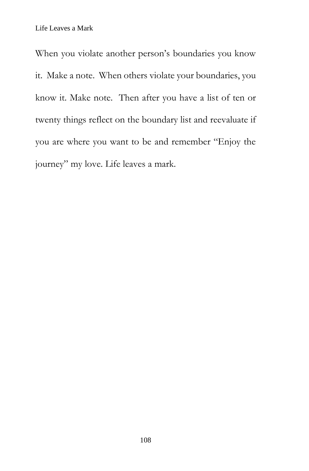When you violate another person's boundaries you know it. Make a note. When others violate your boundaries, you know it. Make note. Then after you have a list of ten or twenty things reflect on the boundary list and reevaluate if you are where you want to be and remember "Enjoy the journey" my love. Life leaves a mark.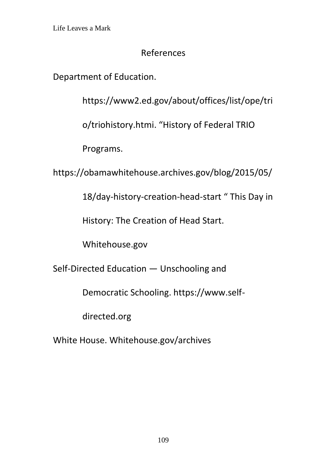## References

Department of Education.

https://www2.ed.gov/about/offices/list/ope/tri

o/triohistory.htmi. "History of Federal TRIO

Programs.

https://obamawhitehouse.archives.gov/blog/2015/05/

18/day-history-creation-head-start " This Day in

History: The Creation of Head Start.

Whitehouse.gov

Self-Directed Education — Unschooling and

Democratic Schooling. https://www.self-

directed.org

White House. Whitehouse.gov/archives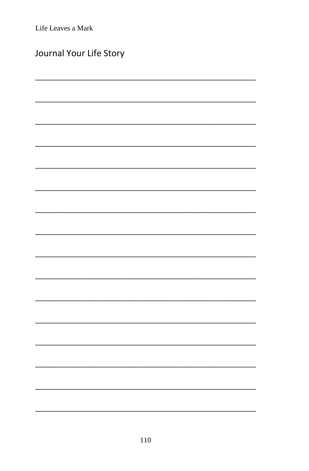| Journal Your Life Story |  |  |
|-------------------------|--|--|
|                         |  |  |
|                         |  |  |
|                         |  |  |
|                         |  |  |
|                         |  |  |
|                         |  |  |
|                         |  |  |
|                         |  |  |
|                         |  |  |
|                         |  |  |
|                         |  |  |
|                         |  |  |
|                         |  |  |
|                         |  |  |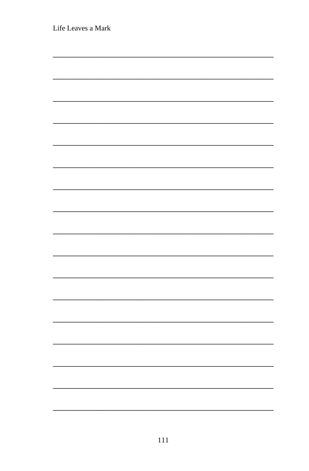| Life Leaves a Mark                                                                                                   |  |  |
|----------------------------------------------------------------------------------------------------------------------|--|--|
|                                                                                                                      |  |  |
|                                                                                                                      |  |  |
|                                                                                                                      |  |  |
|                                                                                                                      |  |  |
|                                                                                                                      |  |  |
|                                                                                                                      |  |  |
|                                                                                                                      |  |  |
| <u> 1989 - Jan James James James James James James James James James James James James James James James James J</u> |  |  |
|                                                                                                                      |  |  |
|                                                                                                                      |  |  |
|                                                                                                                      |  |  |
|                                                                                                                      |  |  |
|                                                                                                                      |  |  |
|                                                                                                                      |  |  |
|                                                                                                                      |  |  |
|                                                                                                                      |  |  |
|                                                                                                                      |  |  |
|                                                                                                                      |  |  |
|                                                                                                                      |  |  |
|                                                                                                                      |  |  |
|                                                                                                                      |  |  |
|                                                                                                                      |  |  |
|                                                                                                                      |  |  |
|                                                                                                                      |  |  |
|                                                                                                                      |  |  |
|                                                                                                                      |  |  |
|                                                                                                                      |  |  |
|                                                                                                                      |  |  |
|                                                                                                                      |  |  |
|                                                                                                                      |  |  |
|                                                                                                                      |  |  |
|                                                                                                                      |  |  |
|                                                                                                                      |  |  |
|                                                                                                                      |  |  |
|                                                                                                                      |  |  |
|                                                                                                                      |  |  |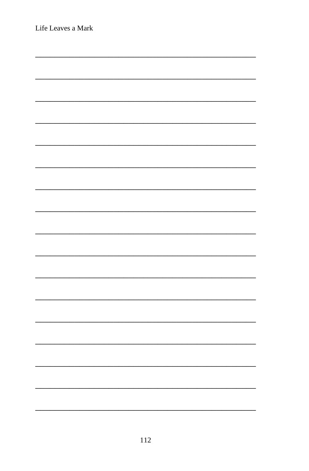| Life Leaves a Mark |  |
|--------------------|--|
|                    |  |
|                    |  |
|                    |  |
|                    |  |
|                    |  |
|                    |  |
|                    |  |
|                    |  |
|                    |  |
|                    |  |
|                    |  |
|                    |  |
|                    |  |
|                    |  |
|                    |  |
|                    |  |
|                    |  |
|                    |  |
|                    |  |
|                    |  |
|                    |  |
|                    |  |
|                    |  |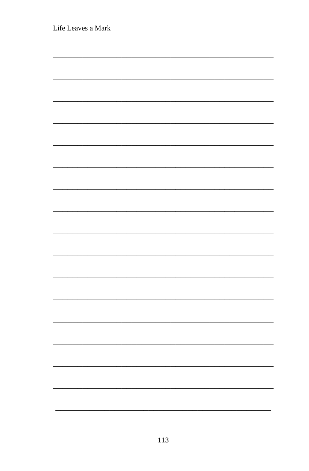| Life Leaves a Mark |  |
|--------------------|--|
|                    |  |
|                    |  |
|                    |  |
|                    |  |
|                    |  |
|                    |  |
|                    |  |
|                    |  |
|                    |  |
|                    |  |
|                    |  |
|                    |  |
|                    |  |
|                    |  |
|                    |  |
|                    |  |
|                    |  |
|                    |  |
|                    |  |
|                    |  |
|                    |  |
|                    |  |
|                    |  |
|                    |  |
|                    |  |
|                    |  |
|                    |  |
|                    |  |
|                    |  |
|                    |  |
|                    |  |
|                    |  |
|                    |  |
|                    |  |
|                    |  |